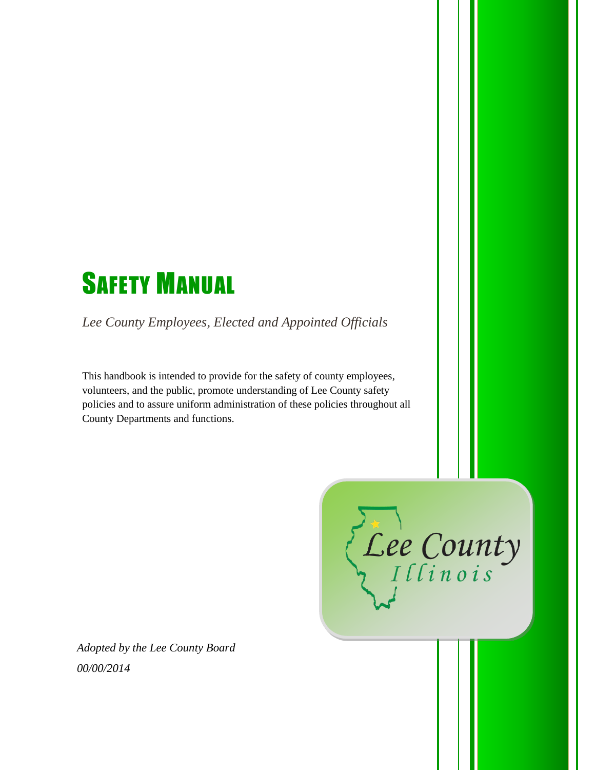# **SAFETY MANUAL**

*Lee County Employees, Elected and Appointed Officials*

This handbook is intended to provide for the safety of county employees, volunteers, and the public, promote understanding of Lee County safety policies and to assure uniform administration of these policies throughout all County Departments and functions.

Lee County

*Adopted by the Lee County Board 00/00/2014*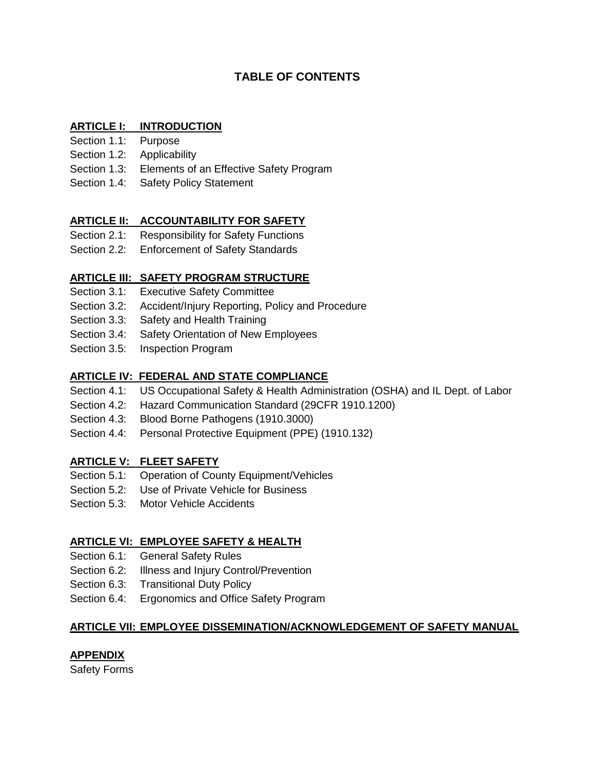# **TABLE OF CONTENTS**

# **ARTICLE I: INTRODUCTION**

- Section 1.1: Purpose
- Section 1.2: Applicability
- Section 1.3: Elements of an Effective Safety Program
- Section 1.4: Safety Policy Statement

# **ARTICLE II: ACCOUNTABILITY FOR SAFETY**

- Section 2.1: Responsibility for Safety Functions
- Section 2.2: Enforcement of Safety Standards

# **ARTICLE III: SAFETY PROGRAM STRUCTURE**

- Section 3.1: Executive Safety Committee
- Section 3.2: Accident/Injury Reporting, Policy and Procedure
- Section 3.3: Safety and Health Training
- Section 3.4: Safety Orientation of New Employees
- Section 3.5: Inspection Program

# **ARTICLE IV: FEDERAL AND STATE COMPLIANCE**

- Section 4.1: US Occupational Safety & Health Administration (OSHA) and IL Dept. of Labor
- Section 4.2: Hazard Communication Standard (29CFR 1910.1200)
- Section 4.3: Blood Borne Pathogens (1910.3000)
- Section 4.4: Personal Protective Equipment (PPE) (1910.132)

# **ARTICLE V: FLEET SAFETY**

- Section 5.1: Operation of County Equipment/Vehicles
- Section 5.2: Use of Private Vehicle for Business
- Section 5.3: Motor Vehicle Accidents

# **ARTICLE VI: EMPLOYEE SAFETY & HEALTH**

- Section 6.1: General Safety Rules
- Section 6.2: Illness and Injury Control/Prevention
- Section 6.3: Transitional Duty Policy
- Section 6.4: Ergonomics and Office Safety Program

## **ARTICLE VII: EMPLOYEE DISSEMINATION/ACKNOWLEDGEMENT OF SAFETY MANUAL**

## **APPENDIX**

Safety Forms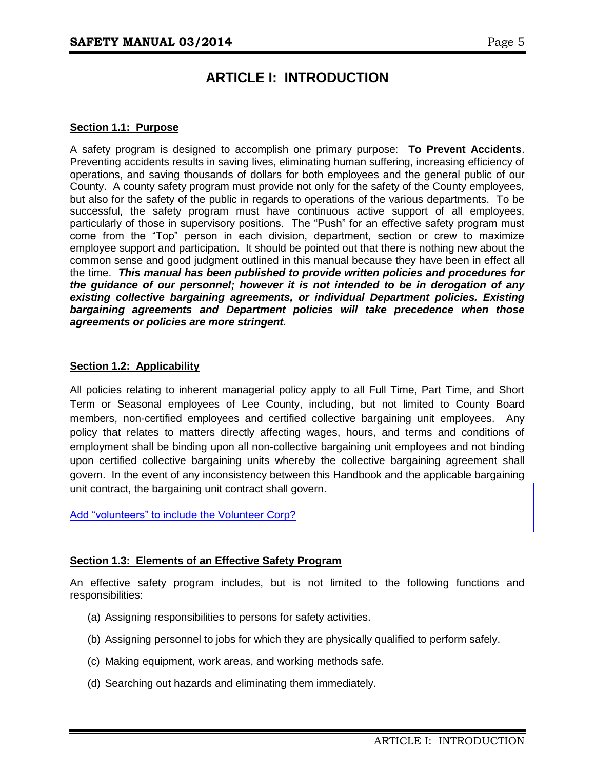# **ARTICLE I: INTRODUCTION**

#### **Section 1.1: Purpose**

A safety program is designed to accomplish one primary purpose: **To Prevent Accidents**. Preventing accidents results in saving lives, eliminating human suffering, increasing efficiency of operations, and saving thousands of dollars for both employees and the general public of our County. A county safety program must provide not only for the safety of the County employees, but also for the safety of the public in regards to operations of the various departments. To be successful, the safety program must have continuous active support of all employees, particularly of those in supervisory positions. The "Push" for an effective safety program must come from the "Top" person in each division, department, section or crew to maximize employee support and participation. It should be pointed out that there is nothing new about the common sense and good judgment outlined in this manual because they have been in effect all the time. *This manual has been published to provide written policies and procedures for the guidance of our personnel; however it is not intended to be in derogation of any existing collective bargaining agreements, or individual Department policies. Existing bargaining agreements and Department policies will take precedence when those agreements or policies are more stringent.*

#### **Section 1.2: Applicability**

All policies relating to inherent managerial policy apply to all Full Time, Part Time, and Short Term or Seasonal employees of Lee County, including, but not limited to County Board members, non-certified employees and certified collective bargaining unit employees. Any policy that relates to matters directly affecting wages, hours, and terms and conditions of employment shall be binding upon all non-collective bargaining unit employees and not binding upon certified collective bargaining units whereby the collective bargaining agreement shall govern. In the event of any inconsistency between this Handbook and the applicable bargaining unit contract, the bargaining unit contract shall govern.

Add "volunteers" to include the Volunteer Corp?

#### **Section 1.3: Elements of an Effective Safety Program**

An effective safety program includes, but is not limited to the following functions and responsibilities:

- (a) Assigning responsibilities to persons for safety activities.
- (b) Assigning personnel to jobs for which they are physically qualified to perform safely.
- (c) Making equipment, work areas, and working methods safe.
- (d) Searching out hazards and eliminating them immediately.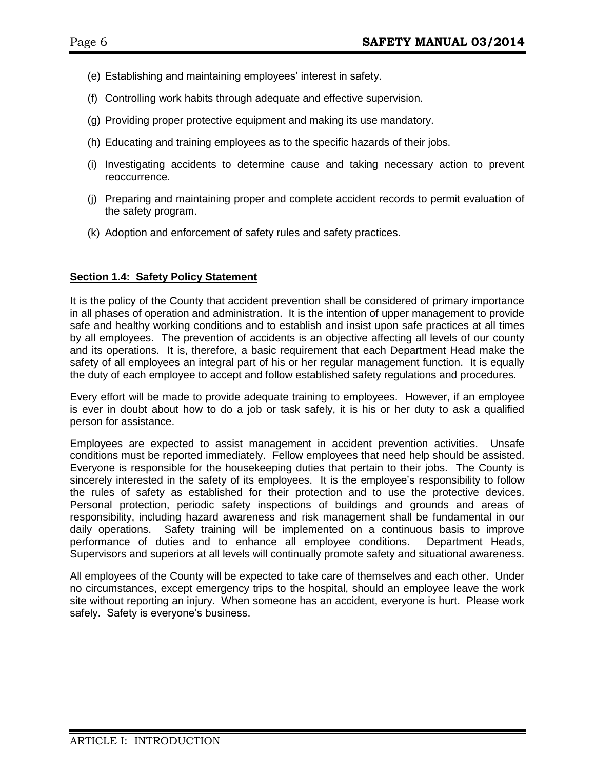- (e) Establishing and maintaining employees' interest in safety.
- (f) Controlling work habits through adequate and effective supervision.
- (g) Providing proper protective equipment and making its use mandatory.
- (h) Educating and training employees as to the specific hazards of their jobs.
- (i) Investigating accidents to determine cause and taking necessary action to prevent reoccurrence.
- (j) Preparing and maintaining proper and complete accident records to permit evaluation of the safety program.
- (k) Adoption and enforcement of safety rules and safety practices.

#### **Section 1.4: Safety Policy Statement**

It is the policy of the County that accident prevention shall be considered of primary importance in all phases of operation and administration. It is the intention of upper management to provide safe and healthy working conditions and to establish and insist upon safe practices at all times by all employees. The prevention of accidents is an objective affecting all levels of our county and its operations. It is, therefore, a basic requirement that each Department Head make the safety of all employees an integral part of his or her regular management function. It is equally the duty of each employee to accept and follow established safety regulations and procedures.

Every effort will be made to provide adequate training to employees. However, if an employee is ever in doubt about how to do a job or task safely, it is his or her duty to ask a qualified person for assistance.

Employees are expected to assist management in accident prevention activities. Unsafe conditions must be reported immediately. Fellow employees that need help should be assisted. Everyone is responsible for the housekeeping duties that pertain to their jobs. The County is sincerely interested in the safety of its employees. It is the employee's responsibility to follow the rules of safety as established for their protection and to use the protective devices. Personal protection, periodic safety inspections of buildings and grounds and areas of responsibility, including hazard awareness and risk management shall be fundamental in our daily operations. Safety training will be implemented on a continuous basis to improve performance of duties and to enhance all employee conditions. Department Heads, Supervisors and superiors at all levels will continually promote safety and situational awareness.

All employees of the County will be expected to take care of themselves and each other. Under no circumstances, except emergency trips to the hospital, should an employee leave the work site without reporting an injury. When someone has an accident, everyone is hurt. Please work safely. Safety is everyone's business.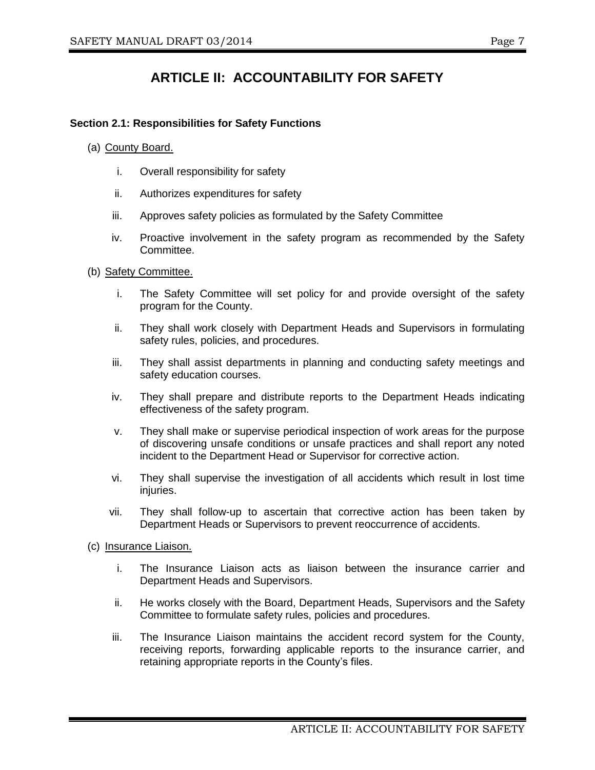# **ARTICLE II: ACCOUNTABILITY FOR SAFETY**

#### **Section 2.1: Responsibilities for Safety Functions**

- (a) County Board.
	- i. Overall responsibility for safety
	- ii. Authorizes expenditures for safety
	- iii. Approves safety policies as formulated by the Safety Committee
	- iv. Proactive involvement in the safety program as recommended by the Safety Committee.
- (b) Safety Committee.
	- i. The Safety Committee will set policy for and provide oversight of the safety program for the County.
	- ii. They shall work closely with Department Heads and Supervisors in formulating safety rules, policies, and procedures.
	- iii. They shall assist departments in planning and conducting safety meetings and safety education courses.
	- iv. They shall prepare and distribute reports to the Department Heads indicating effectiveness of the safety program.
	- v. They shall make or supervise periodical inspection of work areas for the purpose of discovering unsafe conditions or unsafe practices and shall report any noted incident to the Department Head or Supervisor for corrective action.
	- vi. They shall supervise the investigation of all accidents which result in lost time injuries.
	- vii. They shall follow-up to ascertain that corrective action has been taken by Department Heads or Supervisors to prevent reoccurrence of accidents.
- (c) Insurance Liaison.
	- i. The Insurance Liaison acts as liaison between the insurance carrier and Department Heads and Supervisors.
	- ii. He works closely with the Board, Department Heads, Supervisors and the Safety Committee to formulate safety rules, policies and procedures.
	- iii. The Insurance Liaison maintains the accident record system for the County, receiving reports, forwarding applicable reports to the insurance carrier, and retaining appropriate reports in the County's files.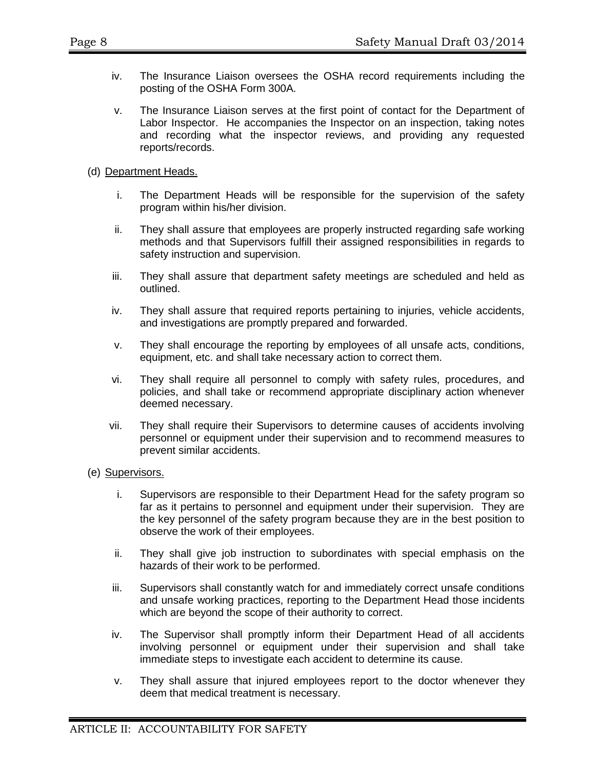- iv. The Insurance Liaison oversees the OSHA record requirements including the posting of the OSHA Form 300A.
- v. The Insurance Liaison serves at the first point of contact for the Department of Labor Inspector. He accompanies the Inspector on an inspection, taking notes and recording what the inspector reviews, and providing any requested reports/records.
- (d) Department Heads.
	- i. The Department Heads will be responsible for the supervision of the safety program within his/her division.
	- ii. They shall assure that employees are properly instructed regarding safe working methods and that Supervisors fulfill their assigned responsibilities in regards to safety instruction and supervision.
	- iii. They shall assure that department safety meetings are scheduled and held as outlined.
	- iv. They shall assure that required reports pertaining to injuries, vehicle accidents, and investigations are promptly prepared and forwarded.
	- v. They shall encourage the reporting by employees of all unsafe acts, conditions, equipment, etc. and shall take necessary action to correct them.
	- vi. They shall require all personnel to comply with safety rules, procedures, and policies, and shall take or recommend appropriate disciplinary action whenever deemed necessary.
	- vii. They shall require their Supervisors to determine causes of accidents involving personnel or equipment under their supervision and to recommend measures to prevent similar accidents.
- (e) Supervisors.
	- i. Supervisors are responsible to their Department Head for the safety program so far as it pertains to personnel and equipment under their supervision. They are the key personnel of the safety program because they are in the best position to observe the work of their employees.
	- ii. They shall give job instruction to subordinates with special emphasis on the hazards of their work to be performed.
	- iii. Supervisors shall constantly watch for and immediately correct unsafe conditions and unsafe working practices, reporting to the Department Head those incidents which are beyond the scope of their authority to correct.
	- iv. The Supervisor shall promptly inform their Department Head of all accidents involving personnel or equipment under their supervision and shall take immediate steps to investigate each accident to determine its cause.
	- v. They shall assure that injured employees report to the doctor whenever they deem that medical treatment is necessary.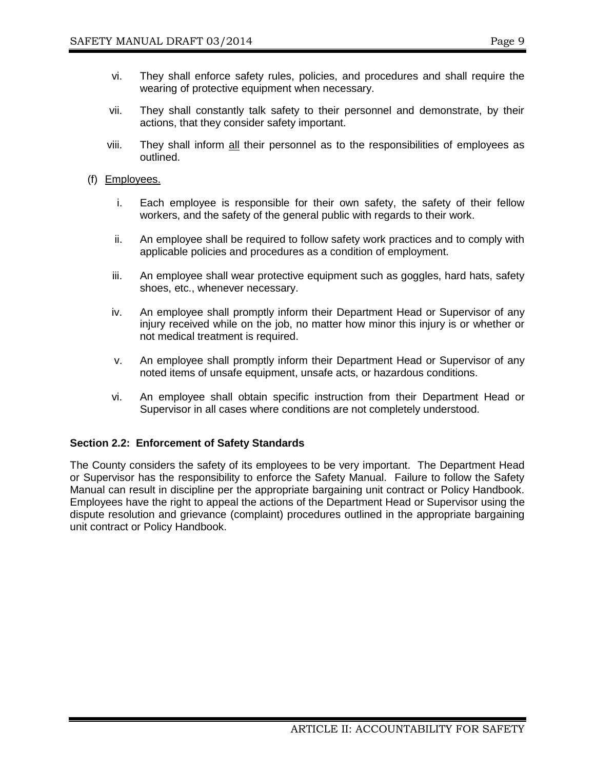- vi. They shall enforce safety rules, policies, and procedures and shall require the wearing of protective equipment when necessary.
- vii. They shall constantly talk safety to their personnel and demonstrate, by their actions, that they consider safety important.
- viii. They shall inform all their personnel as to the responsibilities of employees as outlined.
- (f) Employees.
	- i. Each employee is responsible for their own safety, the safety of their fellow workers, and the safety of the general public with regards to their work.
	- ii. An employee shall be required to follow safety work practices and to comply with applicable policies and procedures as a condition of employment.
	- iii. An employee shall wear protective equipment such as goggles, hard hats, safety shoes, etc., whenever necessary.
	- iv. An employee shall promptly inform their Department Head or Supervisor of any injury received while on the job, no matter how minor this injury is or whether or not medical treatment is required.
	- v. An employee shall promptly inform their Department Head or Supervisor of any noted items of unsafe equipment, unsafe acts, or hazardous conditions.
	- vi. An employee shall obtain specific instruction from their Department Head or Supervisor in all cases where conditions are not completely understood.

## **Section 2.2: Enforcement of Safety Standards**

The County considers the safety of its employees to be very important. The Department Head or Supervisor has the responsibility to enforce the Safety Manual. Failure to follow the Safety Manual can result in discipline per the appropriate bargaining unit contract or Policy Handbook. Employees have the right to appeal the actions of the Department Head or Supervisor using the dispute resolution and grievance (complaint) procedures outlined in the appropriate bargaining unit contract or Policy Handbook.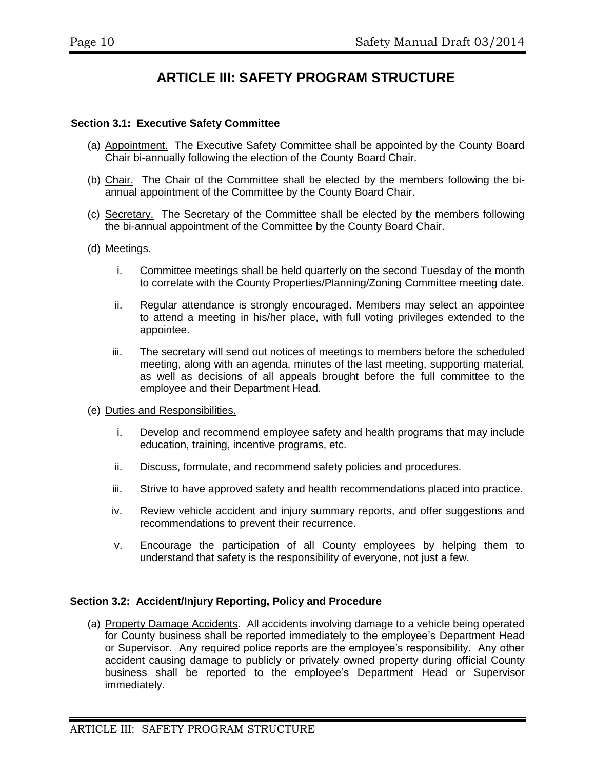# **ARTICLE III: SAFETY PROGRAM STRUCTURE**

#### **Section 3.1: Executive Safety Committee**

- (a) Appointment. The Executive Safety Committee shall be appointed by the County Board Chair bi-annually following the election of the County Board Chair.
- (b) Chair. The Chair of the Committee shall be elected by the members following the biannual appointment of the Committee by the County Board Chair.
- (c) Secretary. The Secretary of the Committee shall be elected by the members following the bi-annual appointment of the Committee by the County Board Chair.
- (d) Meetings.
	- i. Committee meetings shall be held quarterly on the second Tuesday of the month to correlate with the County Properties/Planning/Zoning Committee meeting date.
	- ii. Regular attendance is strongly encouraged. Members may select an appointee to attend a meeting in his/her place, with full voting privileges extended to the appointee.
	- iii. The secretary will send out notices of meetings to members before the scheduled meeting, along with an agenda, minutes of the last meeting, supporting material, as well as decisions of all appeals brought before the full committee to the employee and their Department Head.
- (e) Duties and Responsibilities.
	- i. Develop and recommend employee safety and health programs that may include education, training, incentive programs, etc.
	- ii. Discuss, formulate, and recommend safety policies and procedures.
	- iii. Strive to have approved safety and health recommendations placed into practice.
	- iv. Review vehicle accident and injury summary reports, and offer suggestions and recommendations to prevent their recurrence.
	- v. Encourage the participation of all County employees by helping them to understand that safety is the responsibility of everyone, not just a few.

#### **Section 3.2: Accident/Injury Reporting, Policy and Procedure**

(a) Property Damage Accidents. All accidents involving damage to a vehicle being operated for County business shall be reported immediately to the employee's Department Head or Supervisor. Any required police reports are the employee's responsibility. Any other accident causing damage to publicly or privately owned property during official County business shall be reported to the employee's Department Head or Supervisor immediately.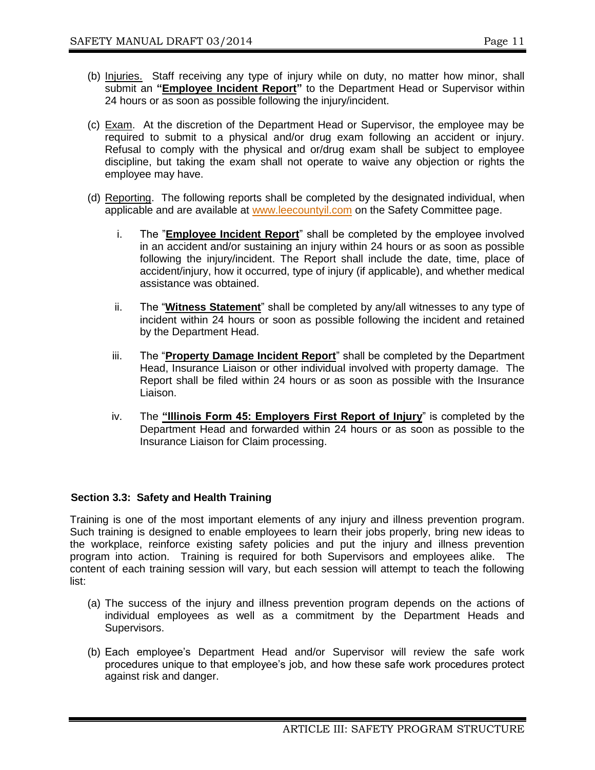- (b) Injuries. Staff receiving any type of injury while on duty, no matter how minor, shall submit an "**Employee Incident Report**" to the Department Head or Supervisor within 24 hours or as soon as possible following the injury/incident.
- (c) Exam. At the discretion of the Department Head or Supervisor, the employee may be required to submit to a physical and/or drug exam following an accident or injury. Refusal to comply with the physical and or/drug exam shall be subject to employee discipline, but taking the exam shall not operate to waive any objection or rights the employee may have.
- (d) Reporting. The following reports shall be completed by the designated individual, when applicable and are available at [www.leecountyil.com](http://www.leecountyil.com/) on the Safety Committee page.
	- i. The "**Employee Incident Report**" shall be completed by the employee involved in an accident and/or sustaining an injury within 24 hours or as soon as possible following the injury/incident. The Report shall include the date, time, place of accident/injury, how it occurred, type of injury (if applicable), and whether medical assistance was obtained.
	- ii. The "**Witness Statement**" shall be completed by any/all witnesses to any type of incident within 24 hours or soon as possible following the incident and retained by the Department Head.
	- iii. The "**Property Damage Incident Report**" shall be completed by the Department Head, Insurance Liaison or other individual involved with property damage. The Report shall be filed within 24 hours or as soon as possible with the Insurance Liaison.
	- iv. The **"Illinois Form 45: Employers First Report of Injury**" is completed by the Department Head and forwarded within 24 hours or as soon as possible to the Insurance Liaison for Claim processing.

## **Section 3.3: Safety and Health Training**

Training is one of the most important elements of any injury and illness prevention program. Such training is designed to enable employees to learn their jobs properly, bring new ideas to the workplace, reinforce existing safety policies and put the injury and illness prevention program into action. Training is required for both Supervisors and employees alike. The content of each training session will vary, but each session will attempt to teach the following list:

- (a) The success of the injury and illness prevention program depends on the actions of individual employees as well as a commitment by the Department Heads and Supervisors.
- (b) Each employee's Department Head and/or Supervisor will review the safe work procedures unique to that employee's job, and how these safe work procedures protect against risk and danger.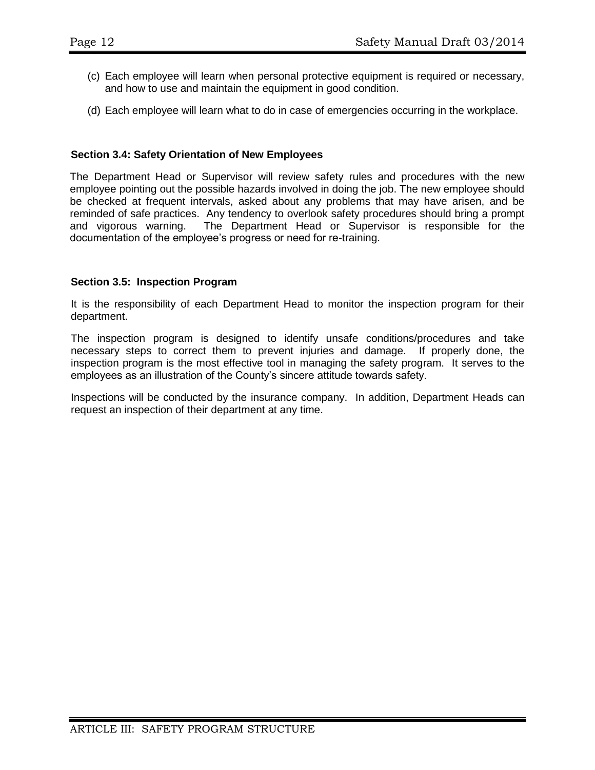- (c) Each employee will learn when personal protective equipment is required or necessary, and how to use and maintain the equipment in good condition.
- (d) Each employee will learn what to do in case of emergencies occurring in the workplace.

#### **Section 3.4: Safety Orientation of New Employees**

The Department Head or Supervisor will review safety rules and procedures with the new employee pointing out the possible hazards involved in doing the job. The new employee should be checked at frequent intervals, asked about any problems that may have arisen, and be reminded of safe practices. Any tendency to overlook safety procedures should bring a prompt and vigorous warning. The Department Head or Supervisor is responsible for the documentation of the employee's progress or need for re-training.

#### **Section 3.5: Inspection Program**

It is the responsibility of each Department Head to monitor the inspection program for their department.

The inspection program is designed to identify unsafe conditions/procedures and take necessary steps to correct them to prevent injuries and damage. If properly done, the inspection program is the most effective tool in managing the safety program. It serves to the employees as an illustration of the County's sincere attitude towards safety.

Inspections will be conducted by the insurance company. In addition, Department Heads can request an inspection of their department at any time.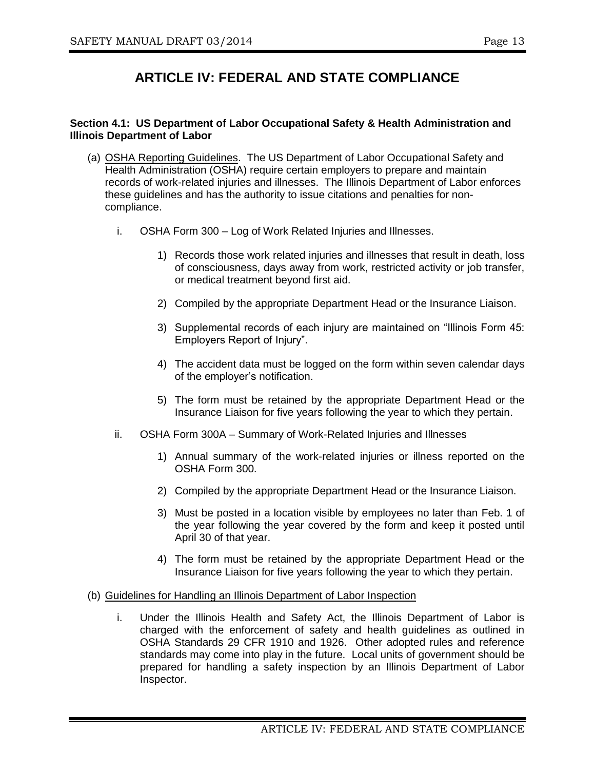# **ARTICLE IV: FEDERAL AND STATE COMPLIANCE**

#### **Section 4.1: US Department of Labor Occupational Safety & Health Administration and Illinois Department of Labor**

- (a) OSHA Reporting Guidelines. The US Department of Labor Occupational Safety and Health Administration (OSHA) require certain employers to prepare and maintain records of work-related injuries and illnesses. The Illinois Department of Labor enforces these guidelines and has the authority to issue citations and penalties for noncompliance.
	- i. OSHA Form 300 Log of Work Related Injuries and Illnesses.
		- 1) Records those work related injuries and illnesses that result in death, loss of consciousness, days away from work, restricted activity or job transfer, or medical treatment beyond first aid.
		- 2) Compiled by the appropriate Department Head or the Insurance Liaison.
		- 3) Supplemental records of each injury are maintained on "Illinois Form 45: Employers Report of Injury".
		- 4) The accident data must be logged on the form within seven calendar days of the employer's notification.
		- 5) The form must be retained by the appropriate Department Head or the Insurance Liaison for five years following the year to which they pertain.
	- ii. OSHA Form 300A Summary of Work-Related Injuries and Illnesses
		- 1) Annual summary of the work-related injuries or illness reported on the OSHA Form 300.
		- 2) Compiled by the appropriate Department Head or the Insurance Liaison.
		- 3) Must be posted in a location visible by employees no later than Feb. 1 of the year following the year covered by the form and keep it posted until April 30 of that year.
		- 4) The form must be retained by the appropriate Department Head or the Insurance Liaison for five years following the year to which they pertain.
- (b) Guidelines for Handling an Illinois Department of Labor Inspection
	- i. Under the Illinois Health and Safety Act, the Illinois Department of Labor is charged with the enforcement of safety and health guidelines as outlined in OSHA Standards 29 CFR 1910 and 1926. Other adopted rules and reference standards may come into play in the future. Local units of government should be prepared for handling a safety inspection by an Illinois Department of Labor Inspector.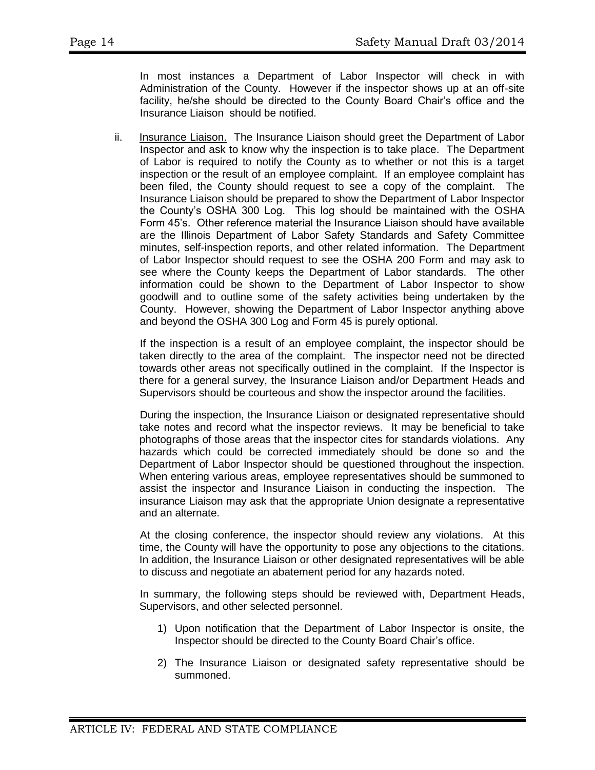In most instances a Department of Labor Inspector will check in with Administration of the County. However if the inspector shows up at an off-site facility, he/she should be directed to the County Board Chair's office and the Insurance Liaison should be notified.

ii. Insurance Liaison. The Insurance Liaison should greet the Department of Labor Inspector and ask to know why the inspection is to take place. The Department of Labor is required to notify the County as to whether or not this is a target inspection or the result of an employee complaint. If an employee complaint has been filed, the County should request to see a copy of the complaint. The Insurance Liaison should be prepared to show the Department of Labor Inspector the County's OSHA 300 Log. This log should be maintained with the OSHA Form 45's. Other reference material the Insurance Liaison should have available are the Illinois Department of Labor Safety Standards and Safety Committee minutes, self-inspection reports, and other related information. The Department of Labor Inspector should request to see the OSHA 200 Form and may ask to see where the County keeps the Department of Labor standards. The other information could be shown to the Department of Labor Inspector to show goodwill and to outline some of the safety activities being undertaken by the County. However, showing the Department of Labor Inspector anything above and beyond the OSHA 300 Log and Form 45 is purely optional.

If the inspection is a result of an employee complaint, the inspector should be taken directly to the area of the complaint. The inspector need not be directed towards other areas not specifically outlined in the complaint. If the Inspector is there for a general survey, the Insurance Liaison and/or Department Heads and Supervisors should be courteous and show the inspector around the facilities.

During the inspection, the Insurance Liaison or designated representative should take notes and record what the inspector reviews. It may be beneficial to take photographs of those areas that the inspector cites for standards violations. Any hazards which could be corrected immediately should be done so and the Department of Labor Inspector should be questioned throughout the inspection. When entering various areas, employee representatives should be summoned to assist the inspector and Insurance Liaison in conducting the inspection. The insurance Liaison may ask that the appropriate Union designate a representative and an alternate.

At the closing conference, the inspector should review any violations. At this time, the County will have the opportunity to pose any objections to the citations. In addition, the Insurance Liaison or other designated representatives will be able to discuss and negotiate an abatement period for any hazards noted.

In summary, the following steps should be reviewed with, Department Heads, Supervisors, and other selected personnel.

- 1) Upon notification that the Department of Labor Inspector is onsite, the Inspector should be directed to the County Board Chair's office.
- 2) The Insurance Liaison or designated safety representative should be summoned.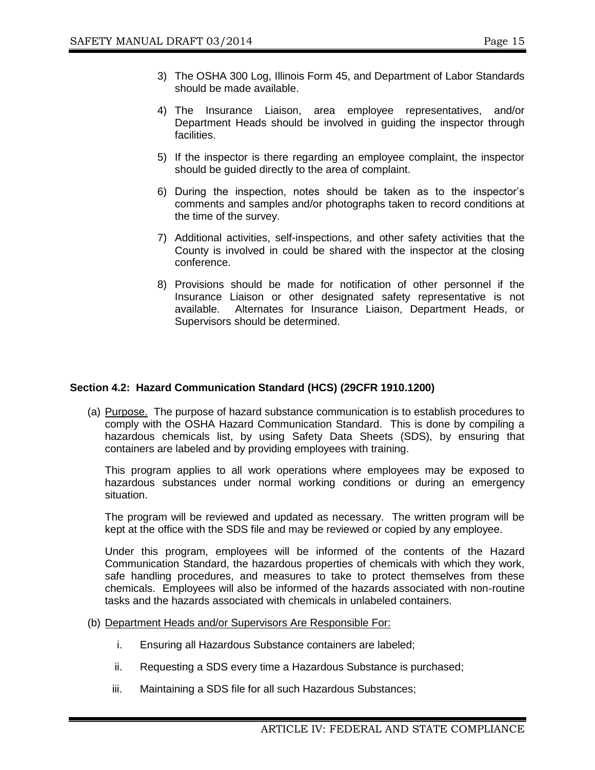- 3) The OSHA 300 Log, Illinois Form 45, and Department of Labor Standards should be made available.
- 4) The Insurance Liaison, area employee representatives, and/or Department Heads should be involved in guiding the inspector through facilities.
- 5) If the inspector is there regarding an employee complaint, the inspector should be guided directly to the area of complaint.
- 6) During the inspection, notes should be taken as to the inspector's comments and samples and/or photographs taken to record conditions at the time of the survey.
- 7) Additional activities, self-inspections, and other safety activities that the County is involved in could be shared with the inspector at the closing conference.
- 8) Provisions should be made for notification of other personnel if the Insurance Liaison or other designated safety representative is not available. Alternates for Insurance Liaison, Department Heads, or Supervisors should be determined.

#### **Section 4.2: Hazard Communication Standard (HCS) (29CFR 1910.1200)**

(a) Purpose. The purpose of hazard substance communication is to establish procedures to comply with the OSHA Hazard Communication Standard. This is done by compiling a hazardous chemicals list, by using Safety Data Sheets (SDS), by ensuring that containers are labeled and by providing employees with training.

This program applies to all work operations where employees may be exposed to hazardous substances under normal working conditions or during an emergency situation.

The program will be reviewed and updated as necessary. The written program will be kept at the office with the SDS file and may be reviewed or copied by any employee.

Under this program, employees will be informed of the contents of the Hazard Communication Standard, the hazardous properties of chemicals with which they work, safe handling procedures, and measures to take to protect themselves from these chemicals. Employees will also be informed of the hazards associated with non-routine tasks and the hazards associated with chemicals in unlabeled containers.

- (b) Department Heads and/or Supervisors Are Responsible For:
	- i. Ensuring all Hazardous Substance containers are labeled;
	- ii. Requesting a SDS every time a Hazardous Substance is purchased;
	- iii. Maintaining a SDS file for all such Hazardous Substances;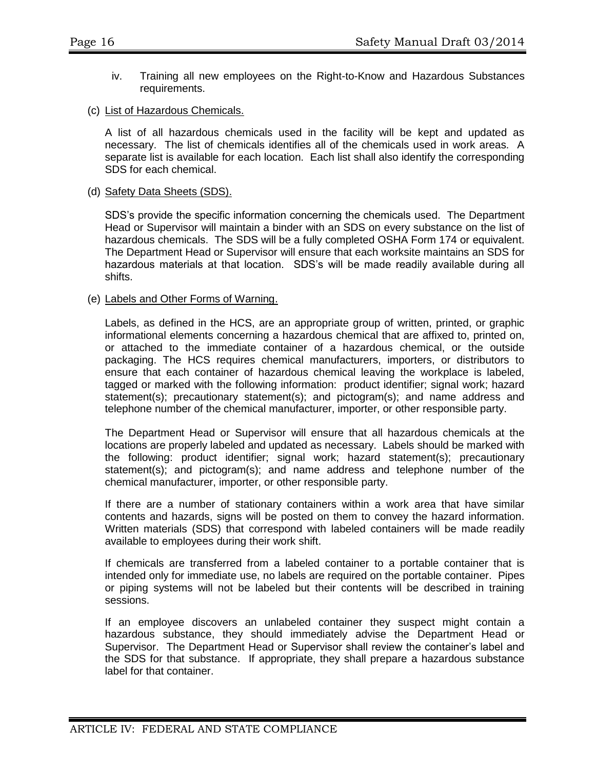- iv. Training all new employees on the Right-to-Know and Hazardous Substances requirements.
- (c) List of Hazardous Chemicals.

A list of all hazardous chemicals used in the facility will be kept and updated as necessary. The list of chemicals identifies all of the chemicals used in work areas. A separate list is available for each location. Each list shall also identify the corresponding SDS for each chemical.

#### (d) Safety Data Sheets (SDS).

SDS's provide the specific information concerning the chemicals used. The Department Head or Supervisor will maintain a binder with an SDS on every substance on the list of hazardous chemicals. The SDS will be a fully completed OSHA Form 174 or equivalent. The Department Head or Supervisor will ensure that each worksite maintains an SDS for hazardous materials at that location. SDS's will be made readily available during all shifts.

#### (e) Labels and Other Forms of Warning.

Labels, as defined in the HCS, are an appropriate group of written, printed, or graphic informational elements concerning a hazardous chemical that are affixed to, printed on, or attached to the immediate container of a hazardous chemical, or the outside packaging. The HCS requires chemical manufacturers, importers, or distributors to ensure that each container of hazardous chemical leaving the workplace is labeled, tagged or marked with the following information: product identifier; signal work; hazard statement(s); precautionary statement(s); and pictogram(s); and name address and telephone number of the chemical manufacturer, importer, or other responsible party.

The Department Head or Supervisor will ensure that all hazardous chemicals at the locations are properly labeled and updated as necessary. Labels should be marked with the following: product identifier; signal work; hazard statement(s); precautionary statement(s); and pictogram(s); and name address and telephone number of the chemical manufacturer, importer, or other responsible party.

If there are a number of stationary containers within a work area that have similar contents and hazards, signs will be posted on them to convey the hazard information. Written materials (SDS) that correspond with labeled containers will be made readily available to employees during their work shift.

If chemicals are transferred from a labeled container to a portable container that is intended only for immediate use, no labels are required on the portable container. Pipes or piping systems will not be labeled but their contents will be described in training sessions.

If an employee discovers an unlabeled container they suspect might contain a hazardous substance, they should immediately advise the Department Head or Supervisor. The Department Head or Supervisor shall review the container's label and the SDS for that substance. If appropriate, they shall prepare a hazardous substance label for that container.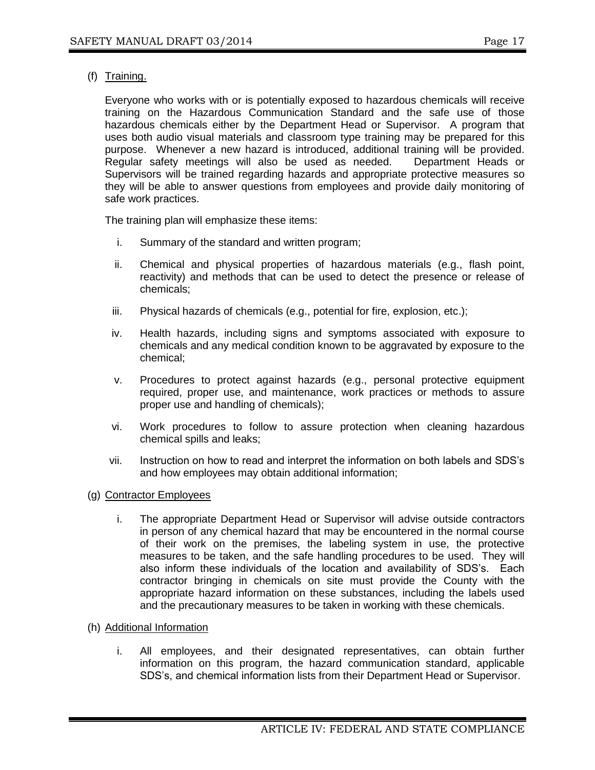(f) Training.

Everyone who works with or is potentially exposed to hazardous chemicals will receive training on the Hazardous Communication Standard and the safe use of those hazardous chemicals either by the Department Head or Supervisor. A program that uses both audio visual materials and classroom type training may be prepared for this purpose. Whenever a new hazard is introduced, additional training will be provided. Regular safety meetings will also be used as needed. Department Heads or Supervisors will be trained regarding hazards and appropriate protective measures so they will be able to answer questions from employees and provide daily monitoring of safe work practices.

The training plan will emphasize these items:

- i. Summary of the standard and written program;
- ii. Chemical and physical properties of hazardous materials (e.g., flash point, reactivity) and methods that can be used to detect the presence or release of chemicals;
- iii. Physical hazards of chemicals (e.g., potential for fire, explosion, etc.);
- iv. Health hazards, including signs and symptoms associated with exposure to chemicals and any medical condition known to be aggravated by exposure to the chemical;
- v. Procedures to protect against hazards (e.g., personal protective equipment required, proper use, and maintenance, work practices or methods to assure proper use and handling of chemicals);
- vi. Work procedures to follow to assure protection when cleaning hazardous chemical spills and leaks;
- vii. Instruction on how to read and interpret the information on both labels and SDS's and how employees may obtain additional information;
- (g) Contractor Employees
	- i. The appropriate Department Head or Supervisor will advise outside contractors in person of any chemical hazard that may be encountered in the normal course of their work on the premises, the labeling system in use, the protective measures to be taken, and the safe handling procedures to be used. They will also inform these individuals of the location and availability of SDS's. Each contractor bringing in chemicals on site must provide the County with the appropriate hazard information on these substances, including the labels used and the precautionary measures to be taken in working with these chemicals.
- (h) Additional Information
	- i. All employees, and their designated representatives, can obtain further information on this program, the hazard communication standard, applicable SDS's, and chemical information lists from their Department Head or Supervisor.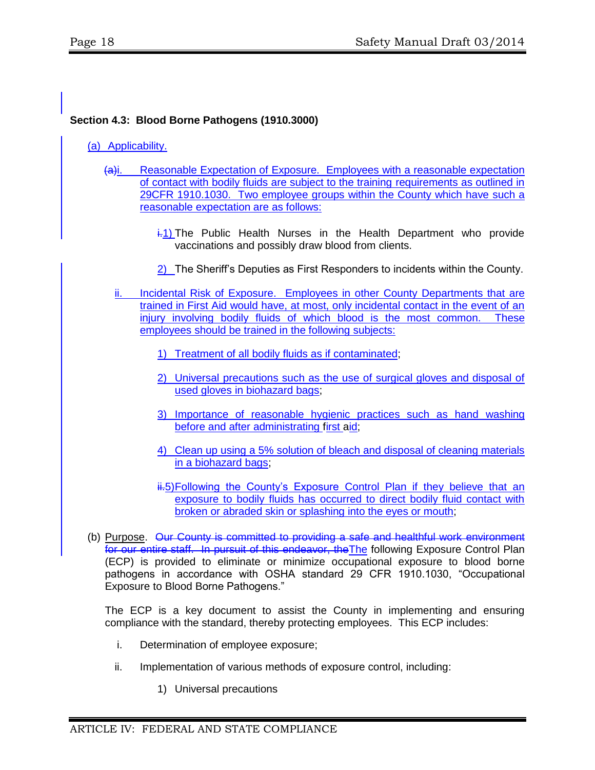### **Section 4.3: Blood Borne Pathogens (1910.3000)**

#### (a) Applicability.

- (a)i. Reasonable Expectation of Exposure. Employees with a reasonable expectation of contact with bodily fluids are subject to the training requirements as outlined in 29CFR 1910.1030. Two employee groups within the County which have such a reasonable expectation are as follows:
	- $\frac{1}{11}$  The Public Health Nurses in the Health Department who provide vaccinations and possibly draw blood from clients.
	- 2) The Sheriff's Deputies as First Responders to incidents within the County.
	- ii. Incidental Risk of Exposure. Employees in other County Departments that are trained in First Aid would have, at most, only incidental contact in the event of an injury involving bodily fluids of which blood is the most common. These employees should be trained in the following subjects:
		- 1) Treatment of all bodily fluids as if contaminated;
		- 2) Universal precautions such as the use of surgical gloves and disposal of used gloves in biohazard bags;
		- 3) Importance of reasonable hygienic practices such as hand washing before and after administrating first aid;
		- 4) Clean up using a 5% solution of bleach and disposal of cleaning materials in a biohazard bags;
		- ii.5)Following the County's Exposure Control Plan if they believe that an exposure to bodily fluids has occurred to direct bodily fluid contact with broken or abraded skin or splashing into the eyes or mouth;
- (b) Purpose. Our County is committed to providing a safe and healthful work environment for our entire staff. In pursuit of this endeavor, the The following Exposure Control Plan (ECP) is provided to eliminate or minimize occupational exposure to blood borne pathogens in accordance with OSHA standard 29 CFR 1910.1030, "Occupational Exposure to Blood Borne Pathogens."

The ECP is a key document to assist the County in implementing and ensuring compliance with the standard, thereby protecting employees. This ECP includes:

- i. Determination of employee exposure;
- ii. Implementation of various methods of exposure control, including:
	- 1) Universal precautions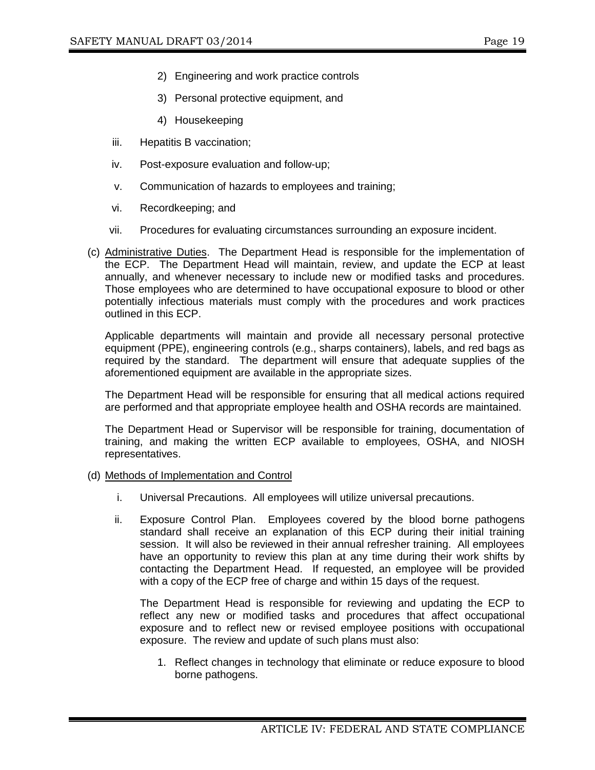- 2) Engineering and work practice controls
- 3) Personal protective equipment, and
- 4) Housekeeping
- iii. Hepatitis B vaccination;
- iv. Post-exposure evaluation and follow-up;
- v. Communication of hazards to employees and training;
- vi. Recordkeeping; and
- vii. Procedures for evaluating circumstances surrounding an exposure incident.
- (c) Administrative Duties. The Department Head is responsible for the implementation of the ECP. The Department Head will maintain, review, and update the ECP at least annually, and whenever necessary to include new or modified tasks and procedures. Those employees who are determined to have occupational exposure to blood or other potentially infectious materials must comply with the procedures and work practices outlined in this ECP.

Applicable departments will maintain and provide all necessary personal protective equipment (PPE), engineering controls (e.g., sharps containers), labels, and red bags as required by the standard. The department will ensure that adequate supplies of the aforementioned equipment are available in the appropriate sizes.

The Department Head will be responsible for ensuring that all medical actions required are performed and that appropriate employee health and OSHA records are maintained.

The Department Head or Supervisor will be responsible for training, documentation of training, and making the written ECP available to employees, OSHA, and NIOSH representatives.

#### (d) Methods of Implementation and Control

- i. Universal Precautions. All employees will utilize universal precautions.
- ii. Exposure Control Plan. Employees covered by the blood borne pathogens standard shall receive an explanation of this ECP during their initial training session. It will also be reviewed in their annual refresher training. All employees have an opportunity to review this plan at any time during their work shifts by contacting the Department Head. If requested, an employee will be provided with a copy of the ECP free of charge and within 15 days of the request.

The Department Head is responsible for reviewing and updating the ECP to reflect any new or modified tasks and procedures that affect occupational exposure and to reflect new or revised employee positions with occupational exposure. The review and update of such plans must also:

1. Reflect changes in technology that eliminate or reduce exposure to blood borne pathogens.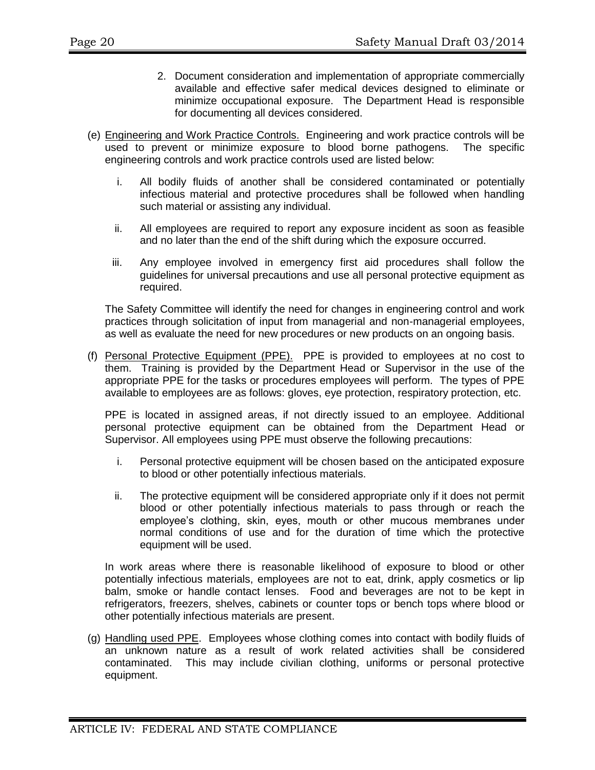- 2. Document consideration and implementation of appropriate commercially available and effective safer medical devices designed to eliminate or minimize occupational exposure. The Department Head is responsible for documenting all devices considered.
- (e) Engineering and Work Practice Controls. Engineering and work practice controls will be used to prevent or minimize exposure to blood borne pathogens. The specific engineering controls and work practice controls used are listed below:
	- i. All bodily fluids of another shall be considered contaminated or potentially infectious material and protective procedures shall be followed when handling such material or assisting any individual.
	- ii. All employees are required to report any exposure incident as soon as feasible and no later than the end of the shift during which the exposure occurred.
	- iii. Any employee involved in emergency first aid procedures shall follow the guidelines for universal precautions and use all personal protective equipment as required.

The Safety Committee will identify the need for changes in engineering control and work practices through solicitation of input from managerial and non-managerial employees, as well as evaluate the need for new procedures or new products on an ongoing basis.

(f) Personal Protective Equipment (PPE). PPE is provided to employees at no cost to them. Training is provided by the Department Head or Supervisor in the use of the appropriate PPE for the tasks or procedures employees will perform. The types of PPE available to employees are as follows: gloves, eye protection, respiratory protection, etc.

PPE is located in assigned areas, if not directly issued to an employee. Additional personal protective equipment can be obtained from the Department Head or Supervisor. All employees using PPE must observe the following precautions:

- i. Personal protective equipment will be chosen based on the anticipated exposure to blood or other potentially infectious materials.
- ii. The protective equipment will be considered appropriate only if it does not permit blood or other potentially infectious materials to pass through or reach the employee's clothing, skin, eyes, mouth or other mucous membranes under normal conditions of use and for the duration of time which the protective equipment will be used.

In work areas where there is reasonable likelihood of exposure to blood or other potentially infectious materials, employees are not to eat, drink, apply cosmetics or lip balm, smoke or handle contact lenses. Food and beverages are not to be kept in refrigerators, freezers, shelves, cabinets or counter tops or bench tops where blood or other potentially infectious materials are present.

(g) Handling used PPE. Employees whose clothing comes into contact with bodily fluids of an unknown nature as a result of work related activities shall be considered contaminated. This may include civilian clothing, uniforms or personal protective equipment.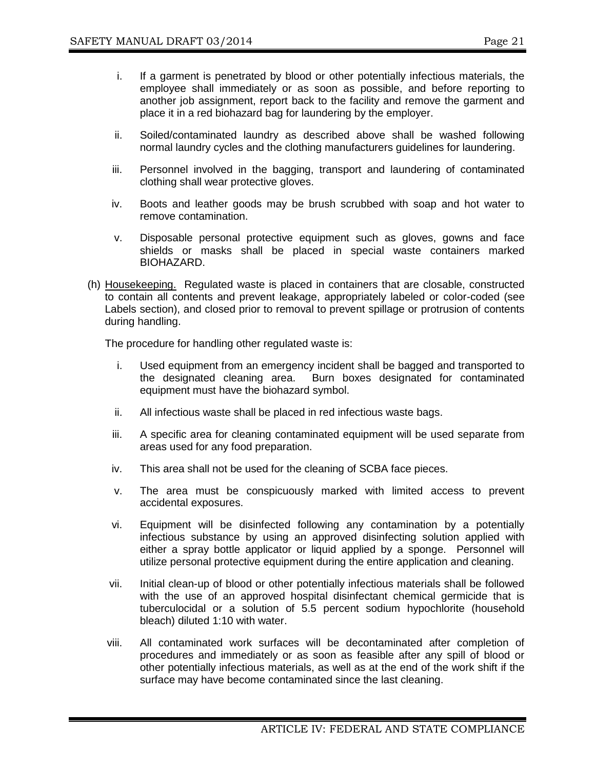- i. If a garment is penetrated by blood or other potentially infectious materials, the employee shall immediately or as soon as possible, and before reporting to another job assignment, report back to the facility and remove the garment and place it in a red biohazard bag for laundering by the employer.
- ii. Soiled/contaminated laundry as described above shall be washed following normal laundry cycles and the clothing manufacturers guidelines for laundering.
- iii. Personnel involved in the bagging, transport and laundering of contaminated clothing shall wear protective gloves.
- iv. Boots and leather goods may be brush scrubbed with soap and hot water to remove contamination.
- v. Disposable personal protective equipment such as gloves, gowns and face shields or masks shall be placed in special waste containers marked BIOHAZARD.
- (h) Housekeeping. Regulated waste is placed in containers that are closable, constructed to contain all contents and prevent leakage, appropriately labeled or color-coded (see Labels section), and closed prior to removal to prevent spillage or protrusion of contents during handling.

The procedure for handling other regulated waste is:

- i. Used equipment from an emergency incident shall be bagged and transported to the designated cleaning area. Burn boxes designated for contaminated equipment must have the biohazard symbol.
- ii. All infectious waste shall be placed in red infectious waste bags.
- iii. A specific area for cleaning contaminated equipment will be used separate from areas used for any food preparation.
- iv. This area shall not be used for the cleaning of SCBA face pieces.
- v. The area must be conspicuously marked with limited access to prevent accidental exposures.
- vi. Equipment will be disinfected following any contamination by a potentially infectious substance by using an approved disinfecting solution applied with either a spray bottle applicator or liquid applied by a sponge. Personnel will utilize personal protective equipment during the entire application and cleaning.
- vii. Initial clean-up of blood or other potentially infectious materials shall be followed with the use of an approved hospital disinfectant chemical germicide that is tuberculocidal or a solution of 5.5 percent sodium hypochlorite (household bleach) diluted 1:10 with water.
- viii. All contaminated work surfaces will be decontaminated after completion of procedures and immediately or as soon as feasible after any spill of blood or other potentially infectious materials, as well as at the end of the work shift if the surface may have become contaminated since the last cleaning.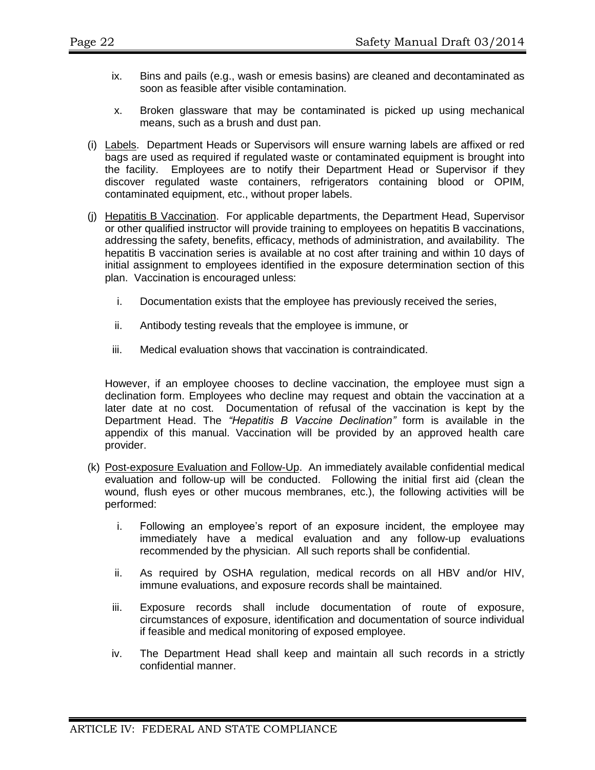- ix. Bins and pails (e.g., wash or emesis basins) are cleaned and decontaminated as soon as feasible after visible contamination.
- x. Broken glassware that may be contaminated is picked up using mechanical means, such as a brush and dust pan.
- (i) Labels. Department Heads or Supervisors will ensure warning labels are affixed or red bags are used as required if regulated waste or contaminated equipment is brought into the facility. Employees are to notify their Department Head or Supervisor if they discover regulated waste containers, refrigerators containing blood or OPIM, contaminated equipment, etc., without proper labels.
- (j) Hepatitis B Vaccination. For applicable departments, the Department Head, Supervisor or other qualified instructor will provide training to employees on hepatitis B vaccinations, addressing the safety, benefits, efficacy, methods of administration, and availability. The hepatitis B vaccination series is available at no cost after training and within 10 days of initial assignment to employees identified in the exposure determination section of this plan. Vaccination is encouraged unless:
	- i. Documentation exists that the employee has previously received the series,
	- ii. Antibody testing reveals that the employee is immune, or
	- iii. Medical evaluation shows that vaccination is contraindicated.

However, if an employee chooses to decline vaccination, the employee must sign a declination form. Employees who decline may request and obtain the vaccination at a later date at no cost. Documentation of refusal of the vaccination is kept by the Department Head. The *"Hepatitis B Vaccine Declination"* form is available in the appendix of this manual. Vaccination will be provided by an approved health care provider.

- (k) Post-exposure Evaluation and Follow-Up. An immediately available confidential medical evaluation and follow-up will be conducted. Following the initial first aid (clean the wound, flush eyes or other mucous membranes, etc.), the following activities will be performed:
	- i. Following an employee's report of an exposure incident, the employee may immediately have a medical evaluation and any follow-up evaluations recommended by the physician. All such reports shall be confidential.
	- ii. As required by OSHA regulation, medical records on all HBV and/or HIV, immune evaluations, and exposure records shall be maintained.
	- iii. Exposure records shall include documentation of route of exposure, circumstances of exposure, identification and documentation of source individual if feasible and medical monitoring of exposed employee.
	- iv. The Department Head shall keep and maintain all such records in a strictly confidential manner.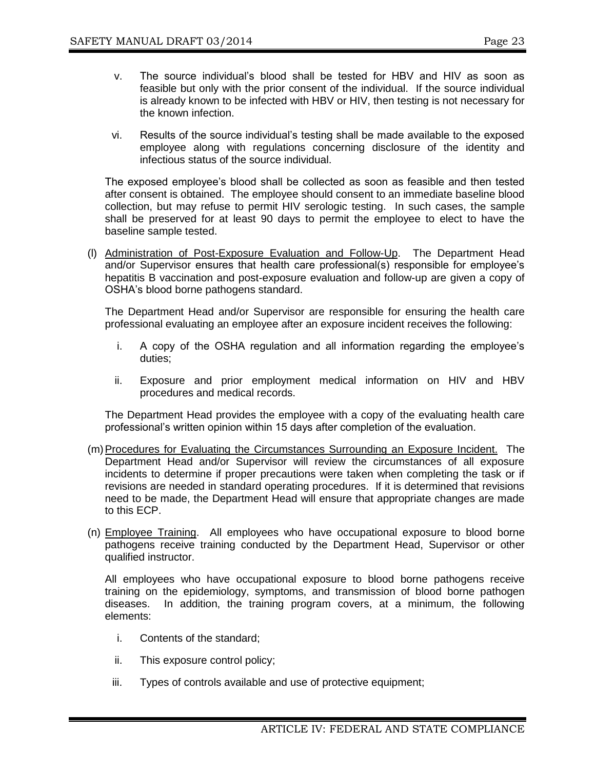- v. The source individual's blood shall be tested for HBV and HIV as soon as feasible but only with the prior consent of the individual. If the source individual is already known to be infected with HBV or HIV, then testing is not necessary for the known infection.
- vi. Results of the source individual's testing shall be made available to the exposed employee along with regulations concerning disclosure of the identity and infectious status of the source individual.

The exposed employee's blood shall be collected as soon as feasible and then tested after consent is obtained. The employee should consent to an immediate baseline blood collection, but may refuse to permit HIV serologic testing. In such cases, the sample shall be preserved for at least 90 days to permit the employee to elect to have the baseline sample tested.

(l) Administration of Post-Exposure Evaluation and Follow-Up. The Department Head and/or Supervisor ensures that health care professional(s) responsible for employee's hepatitis B vaccination and post-exposure evaluation and follow-up are given a copy of OSHA's blood borne pathogens standard.

The Department Head and/or Supervisor are responsible for ensuring the health care professional evaluating an employee after an exposure incident receives the following:

- i. A copy of the OSHA regulation and all information regarding the employee's duties;
- ii. Exposure and prior employment medical information on HIV and HBV procedures and medical records.

The Department Head provides the employee with a copy of the evaluating health care professional's written opinion within 15 days after completion of the evaluation.

- (m) Procedures for Evaluating the Circumstances Surrounding an Exposure Incident. The Department Head and/or Supervisor will review the circumstances of all exposure incidents to determine if proper precautions were taken when completing the task or if revisions are needed in standard operating procedures. If it is determined that revisions need to be made, the Department Head will ensure that appropriate changes are made to this ECP.
- (n) Employee Training. All employees who have occupational exposure to blood borne pathogens receive training conducted by the Department Head, Supervisor or other qualified instructor.

All employees who have occupational exposure to blood borne pathogens receive training on the epidemiology, symptoms, and transmission of blood borne pathogen diseases. In addition, the training program covers, at a minimum, the following elements:

- i. Contents of the standard;
- ii. This exposure control policy;
- iii. Types of controls available and use of protective equipment;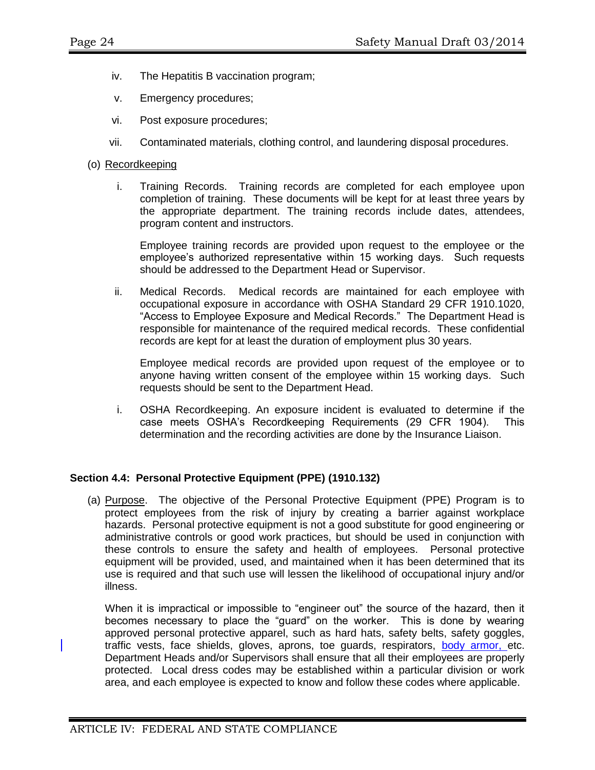- iv. The Hepatitis B vaccination program;
- v. Emergency procedures;
- vi. Post exposure procedures;
- vii. Contaminated materials, clothing control, and laundering disposal procedures.
- (o) Recordkeeping
	- i. Training Records. Training records are completed for each employee upon completion of training. These documents will be kept for at least three years by the appropriate department. The training records include dates, attendees, program content and instructors.

Employee training records are provided upon request to the employee or the employee's authorized representative within 15 working days. Such requests should be addressed to the Department Head or Supervisor.

ii. Medical Records. Medical records are maintained for each employee with occupational exposure in accordance with OSHA Standard 29 CFR 1910.1020, "Access to Employee Exposure and Medical Records." The Department Head is responsible for maintenance of the required medical records. These confidential records are kept for at least the duration of employment plus 30 years.

Employee medical records are provided upon request of the employee or to anyone having written consent of the employee within 15 working days. Such requests should be sent to the Department Head.

i. OSHA Recordkeeping. An exposure incident is evaluated to determine if the case meets OSHA's Recordkeeping Requirements (29 CFR 1904). This determination and the recording activities are done by the Insurance Liaison.

#### **Section 4.4: Personal Protective Equipment (PPE) (1910.132)**

(a) Purpose. The objective of the Personal Protective Equipment (PPE) Program is to protect employees from the risk of injury by creating a barrier against workplace hazards. Personal protective equipment is not a good substitute for good engineering or administrative controls or good work practices, but should be used in conjunction with these controls to ensure the safety and health of employees. Personal protective equipment will be provided, used, and maintained when it has been determined that its use is required and that such use will lessen the likelihood of occupational injury and/or illness.

When it is impractical or impossible to "engineer out" the source of the hazard, then it becomes necessary to place the "guard" on the worker. This is done by wearing approved personal protective apparel, such as hard hats, safety belts, safety goggles, traffic vests, face shields, gloves, aprons, toe guards, respirators, body armor, etc. Department Heads and/or Supervisors shall ensure that all their employees are properly protected. Local dress codes may be established within a particular division or work area, and each employee is expected to know and follow these codes where applicable.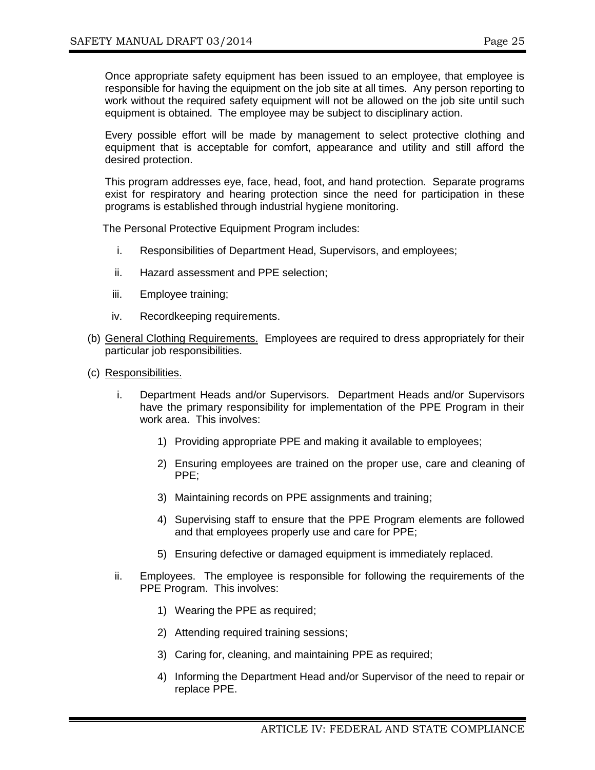Once appropriate safety equipment has been issued to an employee, that employee is responsible for having the equipment on the job site at all times. Any person reporting to work without the required safety equipment will not be allowed on the job site until such equipment is obtained. The employee may be subject to disciplinary action.

Every possible effort will be made by management to select protective clothing and equipment that is acceptable for comfort, appearance and utility and still afford the desired protection.

This program addresses eye, face, head, foot, and hand protection. Separate programs exist for respiratory and hearing protection since the need for participation in these programs is established through industrial hygiene monitoring.

The Personal Protective Equipment Program includes:

- i. Responsibilities of Department Head, Supervisors, and employees;
- ii. Hazard assessment and PPE selection;
- iii. Employee training;
- iv. Recordkeeping requirements.
- (b) General Clothing Requirements. Employees are required to dress appropriately for their particular job responsibilities.
- (c) Responsibilities.
	- i. Department Heads and/or Supervisors. Department Heads and/or Supervisors have the primary responsibility for implementation of the PPE Program in their work area. This involves:
		- 1) Providing appropriate PPE and making it available to employees;
		- 2) Ensuring employees are trained on the proper use, care and cleaning of PPE;
		- 3) Maintaining records on PPE assignments and training;
		- 4) Supervising staff to ensure that the PPE Program elements are followed and that employees properly use and care for PPE;
		- 5) Ensuring defective or damaged equipment is immediately replaced.
	- ii. Employees. The employee is responsible for following the requirements of the PPE Program. This involves:
		- 1) Wearing the PPE as required;
		- 2) Attending required training sessions;
		- 3) Caring for, cleaning, and maintaining PPE as required;
		- 4) Informing the Department Head and/or Supervisor of the need to repair or replace PPE.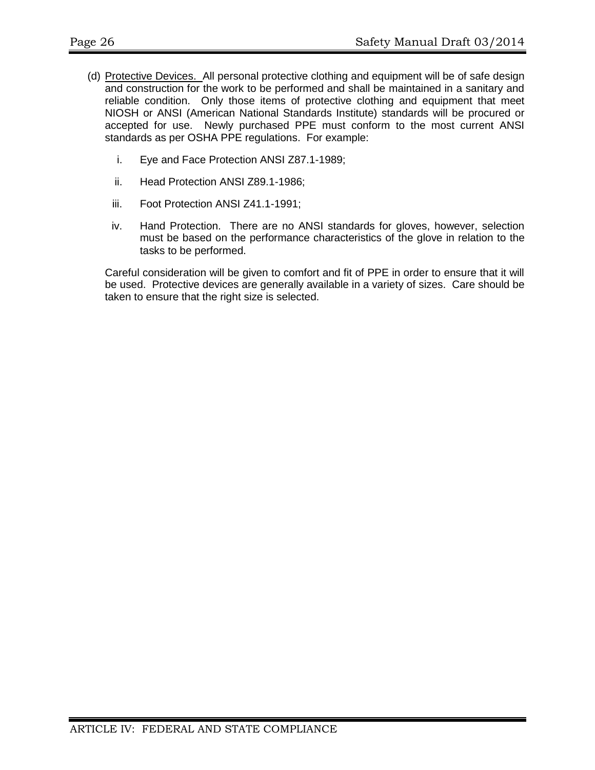- (d) Protective Devices. All personal protective clothing and equipment will be of safe design and construction for the work to be performed and shall be maintained in a sanitary and reliable condition. Only those items of protective clothing and equipment that meet NIOSH or ANSI (American National Standards Institute) standards will be procured or accepted for use. Newly purchased PPE must conform to the most current ANSI standards as per OSHA PPE regulations. For example:
	- i. Eye and Face Protection ANSI Z87.1-1989;
	- ii. Head Protection ANSI Z89.1-1986;
	- iii. Foot Protection ANSI Z41.1-1991;
	- iv. Hand Protection. There are no ANSI standards for gloves, however, selection must be based on the performance characteristics of the glove in relation to the tasks to be performed.

Careful consideration will be given to comfort and fit of PPE in order to ensure that it will be used. Protective devices are generally available in a variety of sizes. Care should be taken to ensure that the right size is selected.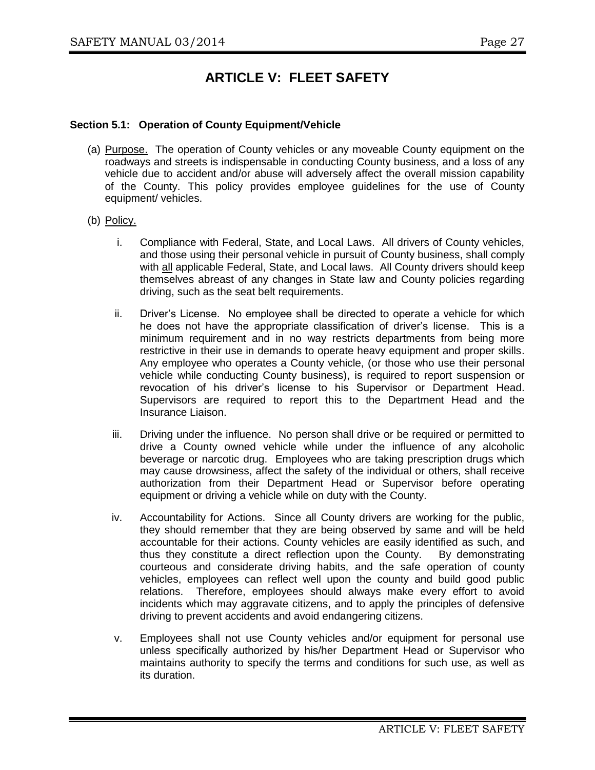# **ARTICLE V: FLEET SAFETY**

#### **Section 5.1: Operation of County Equipment/Vehicle**

- (a) Purpose. The operation of County vehicles or any moveable County equipment on the roadways and streets is indispensable in conducting County business, and a loss of any vehicle due to accident and/or abuse will adversely affect the overall mission capability of the County. This policy provides employee guidelines for the use of County equipment/ vehicles.
- (b) Policy.
	- i. Compliance with Federal, State, and Local Laws. All drivers of County vehicles, and those using their personal vehicle in pursuit of County business, shall comply with all applicable Federal, State, and Local laws. All County drivers should keep themselves abreast of any changes in State law and County policies regarding driving, such as the seat belt requirements.
	- ii. Driver's License. No employee shall be directed to operate a vehicle for which he does not have the appropriate classification of driver's license. This is a minimum requirement and in no way restricts departments from being more restrictive in their use in demands to operate heavy equipment and proper skills. Any employee who operates a County vehicle, (or those who use their personal vehicle while conducting County business), is required to report suspension or revocation of his driver's license to his Supervisor or Department Head. Supervisors are required to report this to the Department Head and the Insurance Liaison.
	- iii. Driving under the influence. No person shall drive or be required or permitted to drive a County owned vehicle while under the influence of any alcoholic beverage or narcotic drug. Employees who are taking prescription drugs which may cause drowsiness, affect the safety of the individual or others, shall receive authorization from their Department Head or Supervisor before operating equipment or driving a vehicle while on duty with the County.
	- iv. Accountability for Actions. Since all County drivers are working for the public, they should remember that they are being observed by same and will be held accountable for their actions. County vehicles are easily identified as such, and thus they constitute a direct reflection upon the County. By demonstrating courteous and considerate driving habits, and the safe operation of county vehicles, employees can reflect well upon the county and build good public relations. Therefore, employees should always make every effort to avoid incidents which may aggravate citizens, and to apply the principles of defensive driving to prevent accidents and avoid endangering citizens.
	- v. Employees shall not use County vehicles and/or equipment for personal use unless specifically authorized by his/her Department Head or Supervisor who maintains authority to specify the terms and conditions for such use, as well as its duration.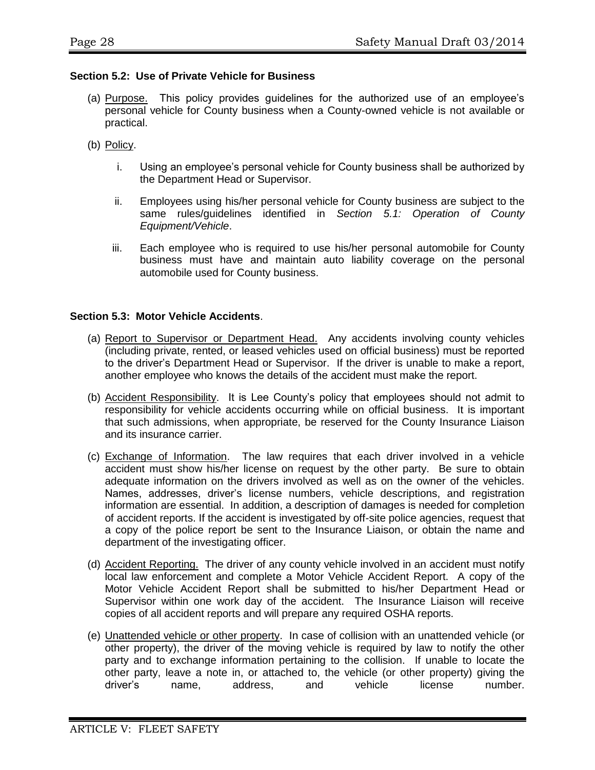#### **Section 5.2: Use of Private Vehicle for Business**

- (a) Purpose. This policy provides guidelines for the authorized use of an employee's personal vehicle for County business when a County-owned vehicle is not available or practical.
- (b) Policy.
	- i. Using an employee's personal vehicle for County business shall be authorized by the Department Head or Supervisor.
	- ii. Employees using his/her personal vehicle for County business are subject to the same rules/guidelines identified in *Section 5.1: Operation of County Equipment/Vehicle*.
	- iii. Each employee who is required to use his/her personal automobile for County business must have and maintain auto liability coverage on the personal automobile used for County business.

#### **Section 5.3: Motor Vehicle Accidents**.

- (a) Report to Supervisor or Department Head. Any accidents involving county vehicles (including private, rented, or leased vehicles used on official business) must be reported to the driver's Department Head or Supervisor. If the driver is unable to make a report, another employee who knows the details of the accident must make the report.
- (b) Accident Responsibility. It is Lee County's policy that employees should not admit to responsibility for vehicle accidents occurring while on official business. It is important that such admissions, when appropriate, be reserved for the County Insurance Liaison and its insurance carrier.
- (c) Exchange of Information. The law requires that each driver involved in a vehicle accident must show his/her license on request by the other party. Be sure to obtain adequate information on the drivers involved as well as on the owner of the vehicles. Names, addresses, driver's license numbers, vehicle descriptions, and registration information are essential. In addition, a description of damages is needed for completion of accident reports. If the accident is investigated by off-site police agencies, request that a copy of the police report be sent to the Insurance Liaison, or obtain the name and department of the investigating officer.
- (d) Accident Reporting. The driver of any county vehicle involved in an accident must notify local law enforcement and complete a Motor Vehicle Accident Report. A copy of the Motor Vehicle Accident Report shall be submitted to his/her Department Head or Supervisor within one work day of the accident. The Insurance Liaison will receive copies of all accident reports and will prepare any required OSHA reports.
- (e) Unattended vehicle or other property. In case of collision with an unattended vehicle (or other property), the driver of the moving vehicle is required by law to notify the other party and to exchange information pertaining to the collision. If unable to locate the other party, leave a note in, or attached to, the vehicle (or other property) giving the driver's name. address. and vehicle license number. driver's name, address, and vehicle license number.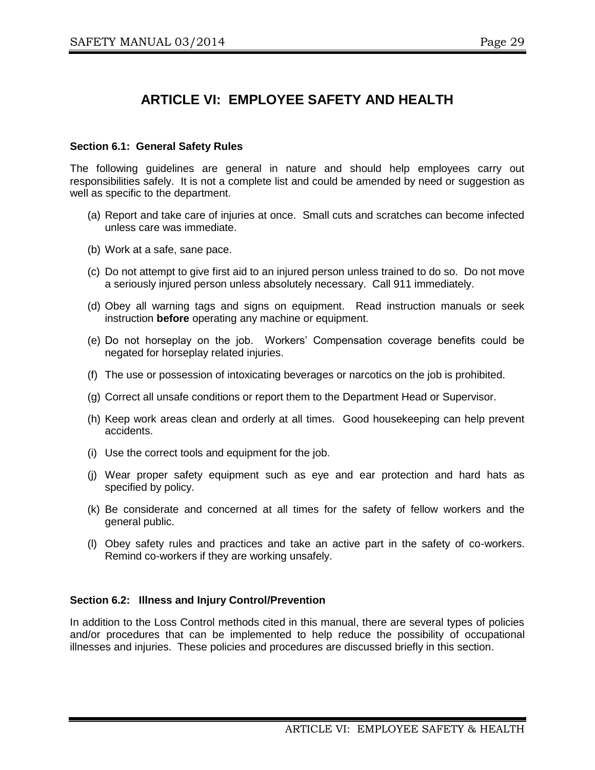# **ARTICLE VI: EMPLOYEE SAFETY AND HEALTH**

#### **Section 6.1: General Safety Rules**

The following guidelines are general in nature and should help employees carry out responsibilities safely. It is not a complete list and could be amended by need or suggestion as well as specific to the department.

- (a) Report and take care of injuries at once. Small cuts and scratches can become infected unless care was immediate.
- (b) Work at a safe, sane pace.
- (c) Do not attempt to give first aid to an injured person unless trained to do so. Do not move a seriously injured person unless absolutely necessary. Call 911 immediately.
- (d) Obey all warning tags and signs on equipment. Read instruction manuals or seek instruction **before** operating any machine or equipment.
- (e) Do not horseplay on the job. Workers' Compensation coverage benefits could be negated for horseplay related injuries.
- (f) The use or possession of intoxicating beverages or narcotics on the job is prohibited.
- (g) Correct all unsafe conditions or report them to the Department Head or Supervisor.
- (h) Keep work areas clean and orderly at all times. Good housekeeping can help prevent accidents.
- (i) Use the correct tools and equipment for the job.
- (j) Wear proper safety equipment such as eye and ear protection and hard hats as specified by policy.
- (k) Be considerate and concerned at all times for the safety of fellow workers and the general public.
- (l) Obey safety rules and practices and take an active part in the safety of co-workers. Remind co-workers if they are working unsafely.

#### **Section 6.2: Illness and Injury Control/Prevention**

In addition to the Loss Control methods cited in this manual, there are several types of policies and/or procedures that can be implemented to help reduce the possibility of occupational illnesses and injuries. These policies and procedures are discussed briefly in this section.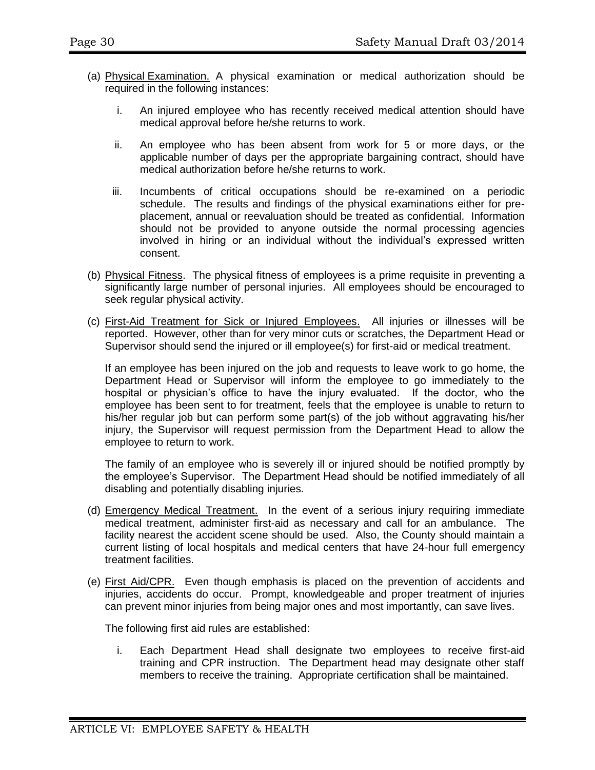- (a) Physical Examination. A physical examination or medical authorization should be required in the following instances:
	- i. An injured employee who has recently received medical attention should have medical approval before he/she returns to work.
	- ii. An employee who has been absent from work for 5 or more days, or the applicable number of days per the appropriate bargaining contract, should have medical authorization before he/she returns to work.
	- iii. Incumbents of critical occupations should be re-examined on a periodic schedule. The results and findings of the physical examinations either for preplacement, annual or reevaluation should be treated as confidential. Information should not be provided to anyone outside the normal processing agencies involved in hiring or an individual without the individual's expressed written consent.
- (b) Physical Fitness. The physical fitness of employees is a prime requisite in preventing a significantly large number of personal injuries. All employees should be encouraged to seek regular physical activity.
- (c) First-Aid Treatment for Sick or Injured Employees. All injuries or illnesses will be reported. However, other than for very minor cuts or scratches, the Department Head or Supervisor should send the injured or ill employee(s) for first-aid or medical treatment.

If an employee has been injured on the job and requests to leave work to go home, the Department Head or Supervisor will inform the employee to go immediately to the hospital or physician's office to have the injury evaluated. If the doctor, who the employee has been sent to for treatment, feels that the employee is unable to return to his/her regular job but can perform some part(s) of the job without aggravating his/her injury, the Supervisor will request permission from the Department Head to allow the employee to return to work.

The family of an employee who is severely ill or injured should be notified promptly by the employee's Supervisor. The Department Head should be notified immediately of all disabling and potentially disabling injuries.

- (d) Emergency Medical Treatment. In the event of a serious injury requiring immediate medical treatment, administer first-aid as necessary and call for an ambulance. The facility nearest the accident scene should be used. Also, the County should maintain a current listing of local hospitals and medical centers that have 24-hour full emergency treatment facilities.
- (e) First Aid/CPR. Even though emphasis is placed on the prevention of accidents and injuries, accidents do occur. Prompt, knowledgeable and proper treatment of injuries can prevent minor injuries from being major ones and most importantly, can save lives.

The following first aid rules are established:

i. Each Department Head shall designate two employees to receive first-aid training and CPR instruction. The Department head may designate other staff members to receive the training. Appropriate certification shall be maintained.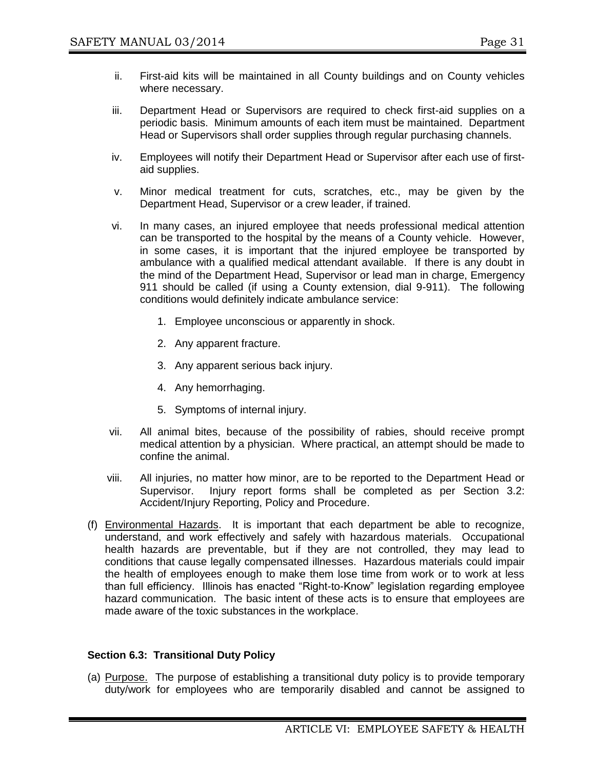- ii. First-aid kits will be maintained in all County buildings and on County vehicles where necessary.
- iii. Department Head or Supervisors are required to check first-aid supplies on a periodic basis. Minimum amounts of each item must be maintained. Department Head or Supervisors shall order supplies through regular purchasing channels.
- iv. Employees will notify their Department Head or Supervisor after each use of firstaid supplies.
- v. Minor medical treatment for cuts, scratches, etc., may be given by the Department Head, Supervisor or a crew leader, if trained.
- vi. In many cases, an injured employee that needs professional medical attention can be transported to the hospital by the means of a County vehicle. However, in some cases, it is important that the injured employee be transported by ambulance with a qualified medical attendant available. If there is any doubt in the mind of the Department Head, Supervisor or lead man in charge, Emergency 911 should be called (if using a County extension, dial 9-911). The following conditions would definitely indicate ambulance service:
	- 1. Employee unconscious or apparently in shock.
	- 2. Any apparent fracture.
	- 3. Any apparent serious back injury.
	- 4. Any hemorrhaging.
	- 5. Symptoms of internal injury.
- vii. All animal bites, because of the possibility of rabies, should receive prompt medical attention by a physician. Where practical, an attempt should be made to confine the animal.
- viii. All injuries, no matter how minor, are to be reported to the Department Head or Supervisor. Injury report forms shall be completed as per Section 3.2: Accident/Injury Reporting, Policy and Procedure.
- (f) Environmental Hazards. It is important that each department be able to recognize, understand, and work effectively and safely with hazardous materials. Occupational health hazards are preventable, but if they are not controlled, they may lead to conditions that cause legally compensated illnesses. Hazardous materials could impair the health of employees enough to make them lose time from work or to work at less than full efficiency. Illinois has enacted "Right-to-Know" legislation regarding employee hazard communication. The basic intent of these acts is to ensure that employees are made aware of the toxic substances in the workplace.

#### **Section 6.3: Transitional Duty Policy**

(a) Purpose. The purpose of establishing a transitional duty policy is to provide temporary duty/work for employees who are temporarily disabled and cannot be assigned to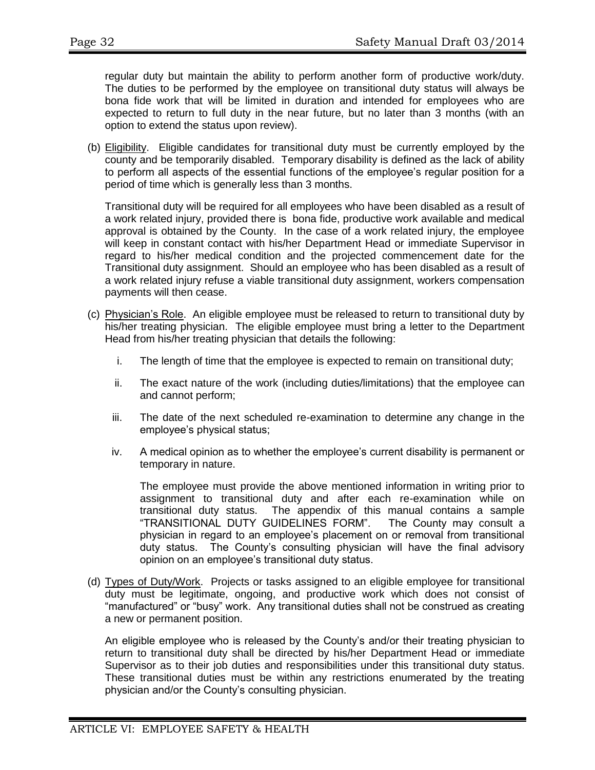regular duty but maintain the ability to perform another form of productive work/duty. The duties to be performed by the employee on transitional duty status will always be bona fide work that will be limited in duration and intended for employees who are expected to return to full duty in the near future, but no later than 3 months (with an option to extend the status upon review).

(b) Eligibility. Eligible candidates for transitional duty must be currently employed by the county and be temporarily disabled. Temporary disability is defined as the lack of ability to perform all aspects of the essential functions of the employee's regular position for a period of time which is generally less than 3 months.

Transitional duty will be required for all employees who have been disabled as a result of a work related injury, provided there is bona fide, productive work available and medical approval is obtained by the County. In the case of a work related injury, the employee will keep in constant contact with his/her Department Head or immediate Supervisor in regard to his/her medical condition and the projected commencement date for the Transitional duty assignment. Should an employee who has been disabled as a result of a work related injury refuse a viable transitional duty assignment, workers compensation payments will then cease.

- (c) Physician's Role. An eligible employee must be released to return to transitional duty by his/her treating physician. The eligible employee must bring a letter to the Department Head from his/her treating physician that details the following:
	- i. The length of time that the employee is expected to remain on transitional duty;
	- ii. The exact nature of the work (including duties/limitations) that the employee can and cannot perform;
	- iii. The date of the next scheduled re-examination to determine any change in the employee's physical status;
	- iv. A medical opinion as to whether the employee's current disability is permanent or temporary in nature.

The employee must provide the above mentioned information in writing prior to assignment to transitional duty and after each re-examination while on transitional duty status. The appendix of this manual contains a sample "TRANSITIONAL DUTY GUIDELINES FORM". The County may consult a physician in regard to an employee's placement on or removal from transitional duty status. The County's consulting physician will have the final advisory opinion on an employee's transitional duty status.

(d) Types of Duty/Work. Projects or tasks assigned to an eligible employee for transitional duty must be legitimate, ongoing, and productive work which does not consist of "manufactured" or "busy" work. Any transitional duties shall not be construed as creating a new or permanent position.

An eligible employee who is released by the County's and/or their treating physician to return to transitional duty shall be directed by his/her Department Head or immediate Supervisor as to their job duties and responsibilities under this transitional duty status. These transitional duties must be within any restrictions enumerated by the treating physician and/or the County's consulting physician.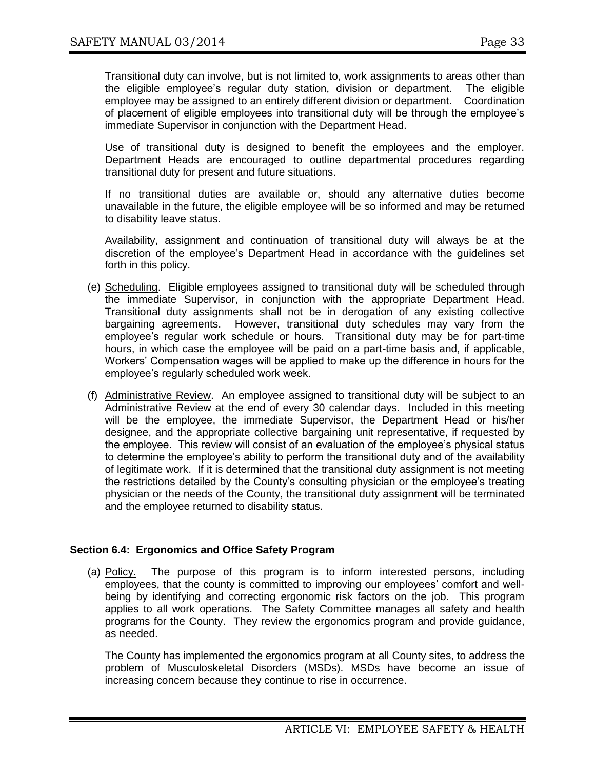Transitional duty can involve, but is not limited to, work assignments to areas other than the eligible employee's regular duty station, division or department. The eligible employee may be assigned to an entirely different division or department. Coordination of placement of eligible employees into transitional duty will be through the employee's immediate Supervisor in conjunction with the Department Head.

Use of transitional duty is designed to benefit the employees and the employer. Department Heads are encouraged to outline departmental procedures regarding transitional duty for present and future situations.

If no transitional duties are available or, should any alternative duties become unavailable in the future, the eligible employee will be so informed and may be returned to disability leave status.

Availability, assignment and continuation of transitional duty will always be at the discretion of the employee's Department Head in accordance with the guidelines set forth in this policy.

- (e) Scheduling. Eligible employees assigned to transitional duty will be scheduled through the immediate Supervisor, in conjunction with the appropriate Department Head. Transitional duty assignments shall not be in derogation of any existing collective bargaining agreements. However, transitional duty schedules may vary from the employee's regular work schedule or hours. Transitional duty may be for part-time hours, in which case the employee will be paid on a part-time basis and, if applicable, Workers' Compensation wages will be applied to make up the difference in hours for the employee's regularly scheduled work week.
- (f) Administrative Review. An employee assigned to transitional duty will be subject to an Administrative Review at the end of every 30 calendar days. Included in this meeting will be the employee, the immediate Supervisor, the Department Head or his/her designee, and the appropriate collective bargaining unit representative, if requested by the employee. This review will consist of an evaluation of the employee's physical status to determine the employee's ability to perform the transitional duty and of the availability of legitimate work. If it is determined that the transitional duty assignment is not meeting the restrictions detailed by the County's consulting physician or the employee's treating physician or the needs of the County, the transitional duty assignment will be terminated and the employee returned to disability status.

#### **Section 6.4: Ergonomics and Office Safety Program**

(a) Policy. The purpose of this program is to inform interested persons, including employees, that the county is committed to improving our employees' comfort and wellbeing by identifying and correcting ergonomic risk factors on the job. This program applies to all work operations. The Safety Committee manages all safety and health programs for the County. They review the ergonomics program and provide guidance, as needed.

The County has implemented the ergonomics program at all County sites, to address the problem of Musculoskeletal Disorders (MSDs). MSDs have become an issue of increasing concern because they continue to rise in occurrence.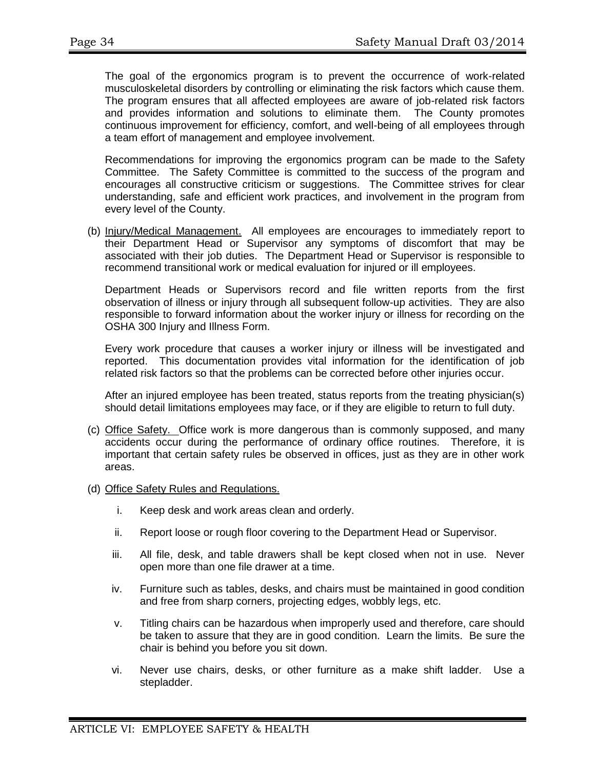The goal of the ergonomics program is to prevent the occurrence of work-related musculoskeletal disorders by controlling or eliminating the risk factors which cause them. The program ensures that all affected employees are aware of job-related risk factors and provides information and solutions to eliminate them. The County promotes continuous improvement for efficiency, comfort, and well-being of all employees through a team effort of management and employee involvement.

Recommendations for improving the ergonomics program can be made to the Safety Committee. The Safety Committee is committed to the success of the program and encourages all constructive criticism or suggestions. The Committee strives for clear understanding, safe and efficient work practices, and involvement in the program from every level of the County.

(b) Injury/Medical Management. All employees are encourages to immediately report to their Department Head or Supervisor any symptoms of discomfort that may be associated with their job duties. The Department Head or Supervisor is responsible to recommend transitional work or medical evaluation for injured or ill employees.

Department Heads or Supervisors record and file written reports from the first observation of illness or injury through all subsequent follow-up activities. They are also responsible to forward information about the worker injury or illness for recording on the OSHA 300 Injury and Illness Form.

Every work procedure that causes a worker injury or illness will be investigated and reported. This documentation provides vital information for the identification of job related risk factors so that the problems can be corrected before other injuries occur.

After an injured employee has been treated, status reports from the treating physician(s) should detail limitations employees may face, or if they are eligible to return to full duty.

- (c) Office Safety. Office work is more dangerous than is commonly supposed, and many accidents occur during the performance of ordinary office routines. Therefore, it is important that certain safety rules be observed in offices, just as they are in other work areas.
- (d) Office Safety Rules and Regulations.
	- i. Keep desk and work areas clean and orderly.
	- ii. Report loose or rough floor covering to the Department Head or Supervisor.
	- iii. All file, desk, and table drawers shall be kept closed when not in use. Never open more than one file drawer at a time.
	- iv. Furniture such as tables, desks, and chairs must be maintained in good condition and free from sharp corners, projecting edges, wobbly legs, etc.
	- v. Titling chairs can be hazardous when improperly used and therefore, care should be taken to assure that they are in good condition. Learn the limits. Be sure the chair is behind you before you sit down.
	- vi. Never use chairs, desks, or other furniture as a make shift ladder. Use a stepladder.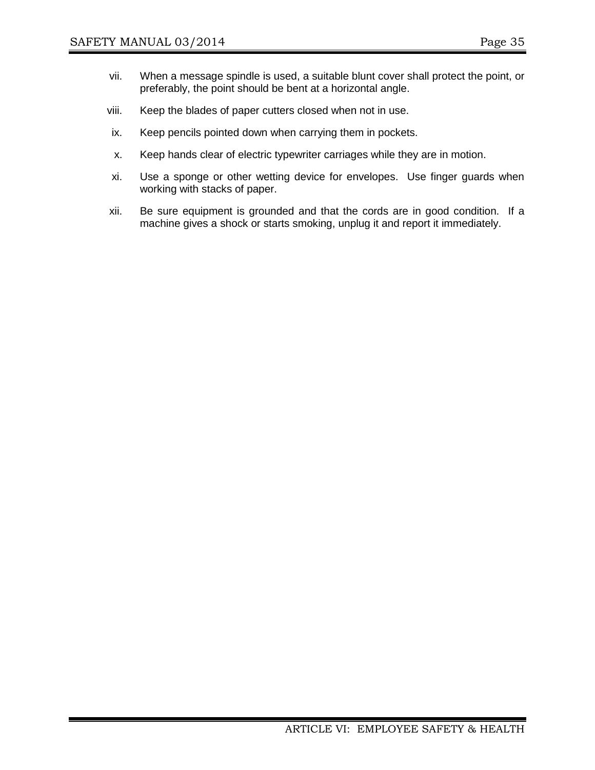- vii. When a message spindle is used, a suitable blunt cover shall protect the point, or preferably, the point should be bent at a horizontal angle.
- viii. Keep the blades of paper cutters closed when not in use.
- ix. Keep pencils pointed down when carrying them in pockets.
- x. Keep hands clear of electric typewriter carriages while they are in motion.
- xi. Use a sponge or other wetting device for envelopes. Use finger guards when working with stacks of paper.
- xii. Be sure equipment is grounded and that the cords are in good condition. If a machine gives a shock or starts smoking, unplug it and report it immediately.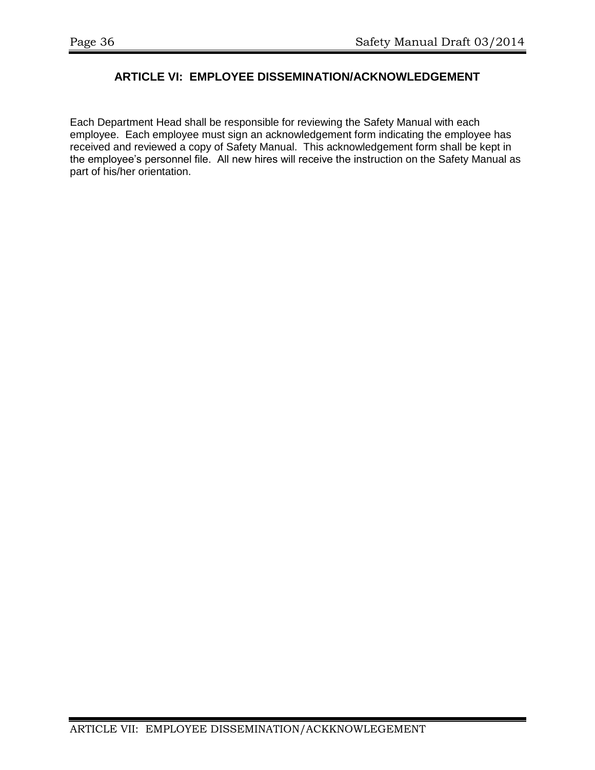# **ARTICLE VI: EMPLOYEE DISSEMINATION/ACKNOWLEDGEMENT**

Each Department Head shall be responsible for reviewing the Safety Manual with each employee. Each employee must sign an acknowledgement form indicating the employee has received and reviewed a copy of Safety Manual. This acknowledgement form shall be kept in the employee's personnel file. All new hires will receive the instruction on the Safety Manual as part of his/her orientation.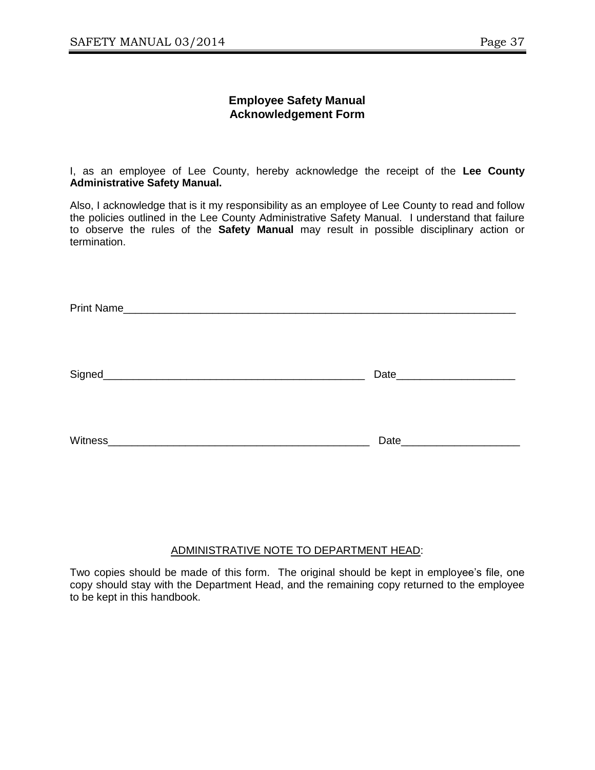#### **Employee Safety Manual Acknowledgement Form**

I, as an employee of Lee County, hereby acknowledge the receipt of the **Lee County Administrative Safety Manual.**

Also, I acknowledge that is it my responsibility as an employee of Lee County to read and follow the policies outlined in the Lee County Administrative Safety Manual. I understand that failure to observe the rules of the **Safety Manual** may result in possible disciplinary action or termination.

| Signed_                                                                                                                                       | Date                                                                                                                                                                                                                           |
|-----------------------------------------------------------------------------------------------------------------------------------------------|--------------------------------------------------------------------------------------------------------------------------------------------------------------------------------------------------------------------------------|
| Witness <sub>.</sub><br><u> 1980 - Johann Harry Harry Harry Harry Harry Harry Harry Harry Harry Harry Harry Harry Harry Harry Harry Harry</u> | Date and the state of the state of the state of the state of the state of the state of the state of the state of the state of the state of the state of the state of the state of the state of the state of the state of the s |

## ADMINISTRATIVE NOTE TO DEPARTMENT HEAD:

Two copies should be made of this form. The original should be kept in employee's file, one copy should stay with the Department Head, and the remaining copy returned to the employee to be kept in this handbook.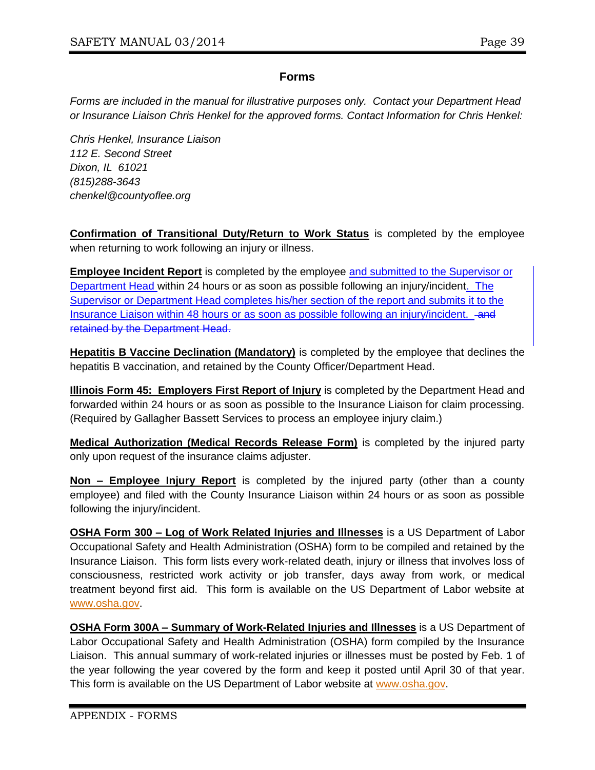# **Forms**

*Forms are included in the manual for illustrative purposes only. Contact your Department Head or Insurance Liaison Chris Henkel for the approved forms. Contact Information for Chris Henkel:*

*Chris Henkel, Insurance Liaison 112 E. Second Street Dixon, IL 61021 (815)288-3643 chenkel@countyoflee.org*

**Confirmation of Transitional Duty/Return to Work Status** is completed by the employee when returning to work following an injury or illness.

**Employee Incident Report** is completed by the employee and submitted to the Supervisor or Department Head within 24 hours or as soon as possible following an injury/incident. The Supervisor or Department Head completes his/her section of the report and submits it to the Insurance Liaison within 48 hours or as soon as possible following an injury/incident. - and retained by the Department Head.

**Hepatitis B Vaccine Declination (Mandatory)** is completed by the employee that declines the hepatitis B vaccination, and retained by the County Officer/Department Head.

**Illinois Form 45: Employers First Report of Injury** is completed by the Department Head and forwarded within 24 hours or as soon as possible to the Insurance Liaison for claim processing. (Required by Gallagher Bassett Services to process an employee injury claim.)

**Medical Authorization (Medical Records Release Form)** is completed by the injured party only upon request of the insurance claims adjuster.

**Non – Employee Injury Report** is completed by the injured party (other than a county employee) and filed with the County Insurance Liaison within 24 hours or as soon as possible following the injury/incident.

**OSHA Form 300 – Log of Work Related Injuries and Illnesses** is a US Department of Labor Occupational Safety and Health Administration (OSHA) form to be compiled and retained by the Insurance Liaison. This form lists every work-related death, injury or illness that involves loss of consciousness, restricted work activity or job transfer, days away from work, or medical treatment beyond first aid. This form is available on the US Department of Labor website at [www.osha.gov.](http://www.osha.gov/)

**OSHA Form 300A – Summary of Work-Related Injuries and Illnesses** is a US Department of Labor Occupational Safety and Health Administration (OSHA) form compiled by the Insurance Liaison. This annual summary of work-related injuries or illnesses must be posted by Feb. 1 of the year following the year covered by the form and keep it posted until April 30 of that year. This form is available on the US Department of Labor website at [www.osha.gov.](http://www.osha.gov/)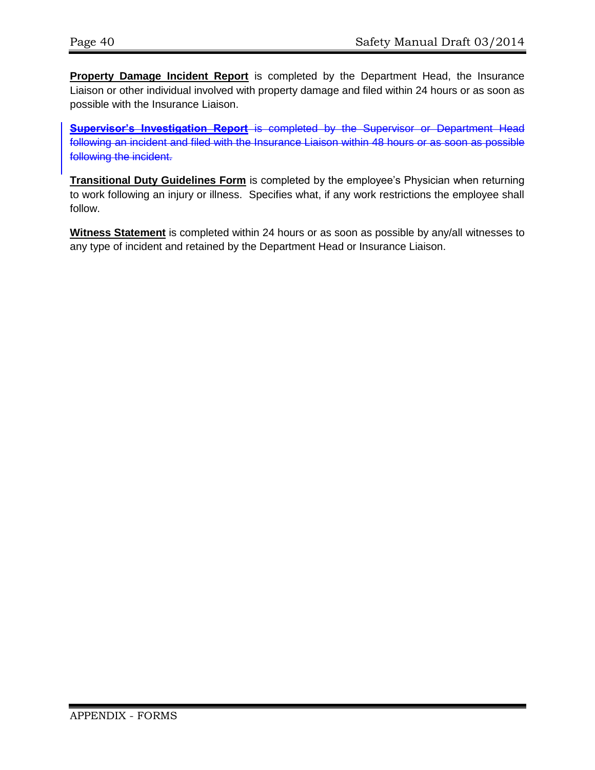**Property Damage Incident Report** is completed by the Department Head, the Insurance Liaison or other individual involved with property damage and filed within 24 hours or as soon as possible with the Insurance Liaison.

**Supervisor's Investigation Report** is completed by the Supervisor or Department Head following an incident and filed with the Insurance Liaison within 48 hours or as soon as possible following the incident.

**Transitional Duty Guidelines Form** is completed by the employee's Physician when returning to work following an injury or illness. Specifies what, if any work restrictions the employee shall follow.

**Witness Statement** is completed within 24 hours or as soon as possible by any/all witnesses to any type of incident and retained by the Department Head or Insurance Liaison.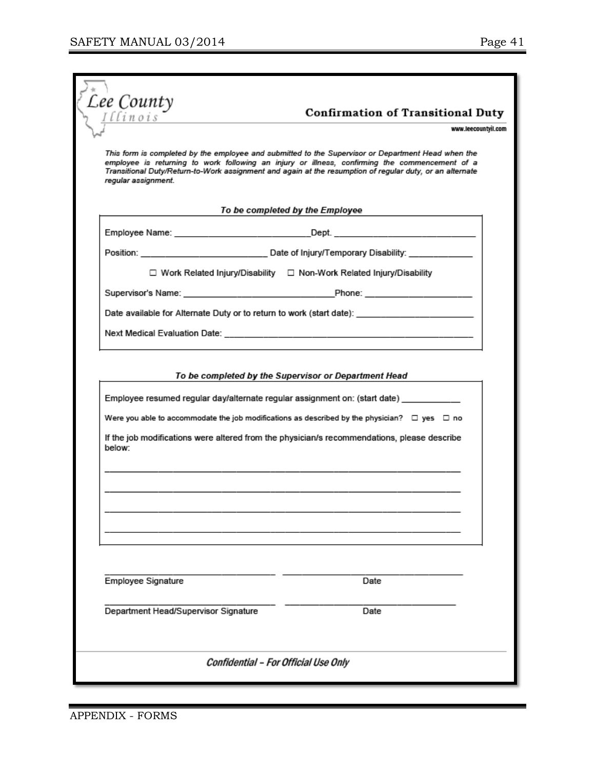| Lee County          | <b>Confirmation of Transitional Duty</b><br>www.leecountvil.com                                                                                                                                                                                                                                                  |
|---------------------|------------------------------------------------------------------------------------------------------------------------------------------------------------------------------------------------------------------------------------------------------------------------------------------------------------------|
|                     |                                                                                                                                                                                                                                                                                                                  |
| regular assignment. | This form is completed by the employee and submitted to the Supervisor or Department Head when the<br>employee is returning to work following an injury or illness, confirming the commencement of a<br>Transitional Duty/Return-to-Work assignment and again at the resumption of regular duty, or an alternate |
|                     | To be completed by the Employee                                                                                                                                                                                                                                                                                  |
|                     | Employee Name: __________________________________Dept. _________________________                                                                                                                                                                                                                                 |
|                     |                                                                                                                                                                                                                                                                                                                  |
|                     | □ Work Related Injury/Disability □ Non-Work Related Injury/Disability                                                                                                                                                                                                                                            |
|                     |                                                                                                                                                                                                                                                                                                                  |
|                     | Date available for Alternate Duty or to return to work (start date): ______________________________                                                                                                                                                                                                              |
|                     |                                                                                                                                                                                                                                                                                                                  |
| below:              | Employee resumed regular day/alternate regular assignment on: (start date) _________<br>Were you able to accommodate the job modifications as described by the physician? $\Box$ yes $\Box$ no<br>If the job modifications were altered from the physician/s recommendations, please describe                    |
|                     |                                                                                                                                                                                                                                                                                                                  |
| Employee Signature  | Date                                                                                                                                                                                                                                                                                                             |
|                     | Department Head/Supervisor Signature<br>Date                                                                                                                                                                                                                                                                     |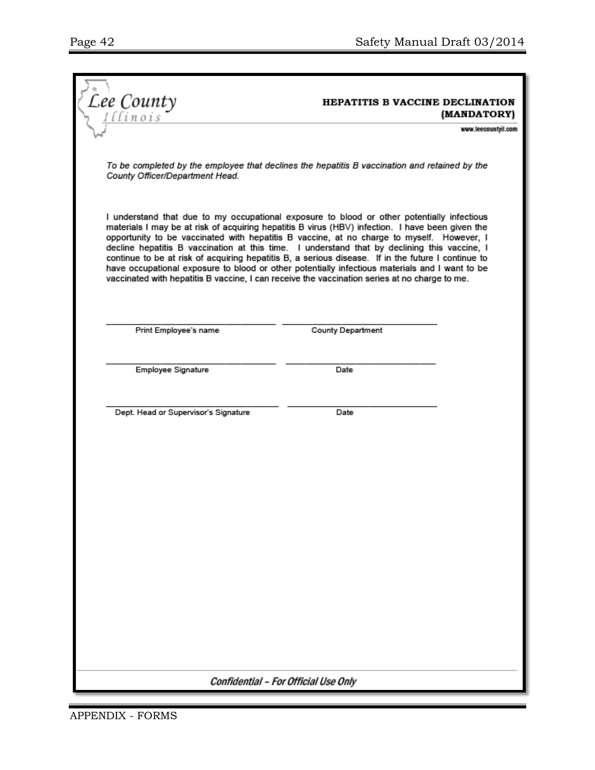|                                                                                                                                                                                                                                                                                                                                                                                                                                                                                                                                                                                                                                                                                                      | HEPATITIS B VACCINE DECLINATION |                     |  |
|------------------------------------------------------------------------------------------------------------------------------------------------------------------------------------------------------------------------------------------------------------------------------------------------------------------------------------------------------------------------------------------------------------------------------------------------------------------------------------------------------------------------------------------------------------------------------------------------------------------------------------------------------------------------------------------------------|---------------------------------|---------------------|--|
| Lee County                                                                                                                                                                                                                                                                                                                                                                                                                                                                                                                                                                                                                                                                                           |                                 | (MANDATORY)         |  |
|                                                                                                                                                                                                                                                                                                                                                                                                                                                                                                                                                                                                                                                                                                      |                                 | www.leecountyil.com |  |
| To be completed by the employee that declines the hepatitis B vaccination and retained by the<br>County Officer/Department Head.                                                                                                                                                                                                                                                                                                                                                                                                                                                                                                                                                                     |                                 |                     |  |
| I understand that due to my occupational exposure to blood or other potentially infectious<br>materials I may be at risk of acquiring hepatitis B virus (HBV) infection. I have been given the<br>opportunity to be vaccinated with hepatitis B vaccine, at no charge to myself. However, I<br>decline hepatitis B vaccination at this time. I understand that by declining this vaccine, I<br>continue to be at risk of acquiring hepatitis B, a serious disease. If in the future I continue to<br>have occupational exposure to blood or other potentially infectious materials and I want to be<br>vaccinated with hepatitis B vaccine, I can receive the vaccination series at no charge to me. |                                 |                     |  |
| Print Employee's name                                                                                                                                                                                                                                                                                                                                                                                                                                                                                                                                                                                                                                                                                | <b>County Department</b>        |                     |  |
|                                                                                                                                                                                                                                                                                                                                                                                                                                                                                                                                                                                                                                                                                                      |                                 |                     |  |
| Employee Signature                                                                                                                                                                                                                                                                                                                                                                                                                                                                                                                                                                                                                                                                                   | Date                            |                     |  |
|                                                                                                                                                                                                                                                                                                                                                                                                                                                                                                                                                                                                                                                                                                      |                                 |                     |  |
| Dept. Head or Supervisor's Signature                                                                                                                                                                                                                                                                                                                                                                                                                                                                                                                                                                                                                                                                 | Date                            |                     |  |
|                                                                                                                                                                                                                                                                                                                                                                                                                                                                                                                                                                                                                                                                                                      |                                 |                     |  |
|                                                                                                                                                                                                                                                                                                                                                                                                                                                                                                                                                                                                                                                                                                      |                                 |                     |  |
|                                                                                                                                                                                                                                                                                                                                                                                                                                                                                                                                                                                                                                                                                                      |                                 |                     |  |
|                                                                                                                                                                                                                                                                                                                                                                                                                                                                                                                                                                                                                                                                                                      |                                 |                     |  |
|                                                                                                                                                                                                                                                                                                                                                                                                                                                                                                                                                                                                                                                                                                      |                                 |                     |  |
|                                                                                                                                                                                                                                                                                                                                                                                                                                                                                                                                                                                                                                                                                                      |                                 |                     |  |
|                                                                                                                                                                                                                                                                                                                                                                                                                                                                                                                                                                                                                                                                                                      |                                 |                     |  |
|                                                                                                                                                                                                                                                                                                                                                                                                                                                                                                                                                                                                                                                                                                      |                                 |                     |  |
|                                                                                                                                                                                                                                                                                                                                                                                                                                                                                                                                                                                                                                                                                                      |                                 |                     |  |
|                                                                                                                                                                                                                                                                                                                                                                                                                                                                                                                                                                                                                                                                                                      |                                 |                     |  |
|                                                                                                                                                                                                                                                                                                                                                                                                                                                                                                                                                                                                                                                                                                      |                                 |                     |  |
|                                                                                                                                                                                                                                                                                                                                                                                                                                                                                                                                                                                                                                                                                                      |                                 |                     |  |
| Confidential - For Official Use Only                                                                                                                                                                                                                                                                                                                                                                                                                                                                                                                                                                                                                                                                 |                                 |                     |  |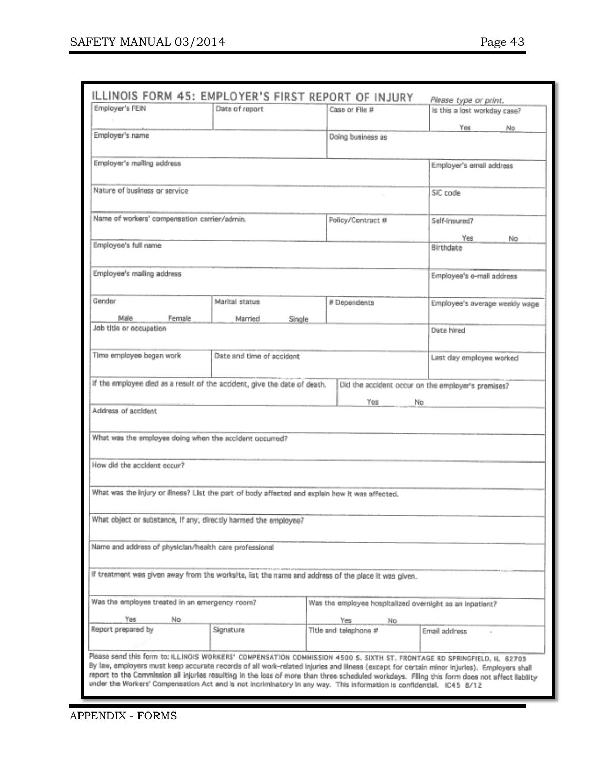| ILLINOIS FORM 45: EMPLOYER'S FIRST REPORT OF INJURY                                                                                                                                                                                                                                         |                           |                       | Please type or print.                              |
|---------------------------------------------------------------------------------------------------------------------------------------------------------------------------------------------------------------------------------------------------------------------------------------------|---------------------------|-----------------------|----------------------------------------------------|
| Employer's FEIN                                                                                                                                                                                                                                                                             | Date of report            | Case or Flie #        | is this a lost workday case?                       |
|                                                                                                                                                                                                                                                                                             |                           |                       | Yes<br>No.                                         |
| Employer's name                                                                                                                                                                                                                                                                             |                           | Doing business as     |                                                    |
|                                                                                                                                                                                                                                                                                             |                           |                       |                                                    |
| Employer's malling address                                                                                                                                                                                                                                                                  |                           |                       | Employer's email address                           |
|                                                                                                                                                                                                                                                                                             |                           |                       |                                                    |
| Nature of business or service                                                                                                                                                                                                                                                               |                           |                       | SIC code                                           |
|                                                                                                                                                                                                                                                                                             |                           |                       |                                                    |
| Name of workers' compensation carrier/admin.                                                                                                                                                                                                                                                |                           | Policy/Contract #     | Self-Insured?                                      |
|                                                                                                                                                                                                                                                                                             |                           |                       | Yes                                                |
| Employee's full name                                                                                                                                                                                                                                                                        |                           |                       | No<br>Birthdate                                    |
|                                                                                                                                                                                                                                                                                             |                           |                       |                                                    |
| Employee's malling address                                                                                                                                                                                                                                                                  |                           |                       | Employee's e-mail address                          |
|                                                                                                                                                                                                                                                                                             |                           |                       |                                                    |
| Gender                                                                                                                                                                                                                                                                                      | Maritai status            | # Dependents          | Employee's average weekly wage                     |
| Male                                                                                                                                                                                                                                                                                        |                           |                       |                                                    |
| Female<br>Job title or occupation                                                                                                                                                                                                                                                           | Married<br>Single         |                       | Date hired                                         |
|                                                                                                                                                                                                                                                                                             |                           |                       |                                                    |
| Time employee began work                                                                                                                                                                                                                                                                    | Date and time of accident |                       | Last day employee worked                           |
|                                                                                                                                                                                                                                                                                             |                           |                       |                                                    |
| If the employee died as a result of the accident, give the date of death.                                                                                                                                                                                                                   |                           |                       |                                                    |
|                                                                                                                                                                                                                                                                                             |                           |                       | Did the accident occur on the employer's premises? |
|                                                                                                                                                                                                                                                                                             |                           | Yes                   | No                                                 |
| Address of accident                                                                                                                                                                                                                                                                         |                           |                       |                                                    |
|                                                                                                                                                                                                                                                                                             |                           |                       |                                                    |
| What was the employee doing when the accident occurred?                                                                                                                                                                                                                                     |                           |                       |                                                    |
|                                                                                                                                                                                                                                                                                             |                           |                       |                                                    |
| How did the accident occur?                                                                                                                                                                                                                                                                 |                           |                       |                                                    |
|                                                                                                                                                                                                                                                                                             |                           |                       |                                                    |
| What was the injury or finess? List the part of body affected and explain how it was affected.                                                                                                                                                                                              |                           |                       |                                                    |
|                                                                                                                                                                                                                                                                                             |                           |                       |                                                    |
| What object or substance, if any, directly harmed the employee?                                                                                                                                                                                                                             |                           |                       |                                                    |
|                                                                                                                                                                                                                                                                                             |                           |                       |                                                    |
| Name and address of physician/health care professional                                                                                                                                                                                                                                      |                           |                       |                                                    |
|                                                                                                                                                                                                                                                                                             |                           |                       |                                                    |
| If treatment was given away from the worksite, list the name and address of the place it was given.                                                                                                                                                                                         |                           |                       |                                                    |
|                                                                                                                                                                                                                                                                                             |                           |                       |                                                    |
| Was the employee treated in an emergency room?<br>Was the employee hospitalized overnight as an inpatient?                                                                                                                                                                                  |                           |                       |                                                    |
| No<br>Yes                                                                                                                                                                                                                                                                                   |                           | Yes<br>No             |                                                    |
| Report prepared by                                                                                                                                                                                                                                                                          | Signature                 | Title and telephone # | Email address                                      |
|                                                                                                                                                                                                                                                                                             |                           |                       |                                                    |
| Please send this form to: ILLINOIS WORKERS' COMPENSATION COMMISSION 4500 S. SIXTH ST. FRONTAGE RD SPRINGFIELD, IL 62703                                                                                                                                                                     |                           |                       |                                                    |
| By law, employers must keep accurate records of all work-related injuries and lilness (except for certain minor injuries). Employers shall<br>report to the Commission all injuries resulting in the loss of more than three scheduled workdays. Filing this form does not affect liability |                           |                       |                                                    |
| under the Workers' Compensation Act and is not incriminatory in any way. This information is confidential. IC45 8/12                                                                                                                                                                        |                           |                       |                                                    |
|                                                                                                                                                                                                                                                                                             |                           |                       |                                                    |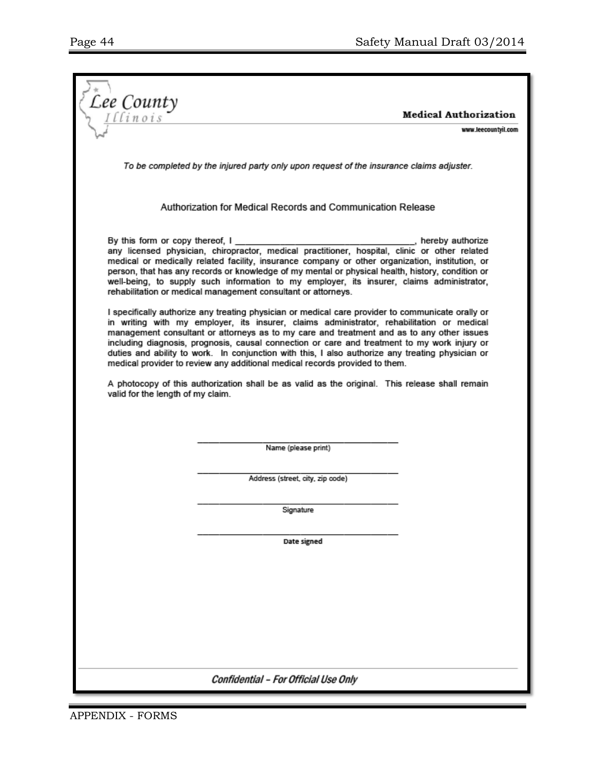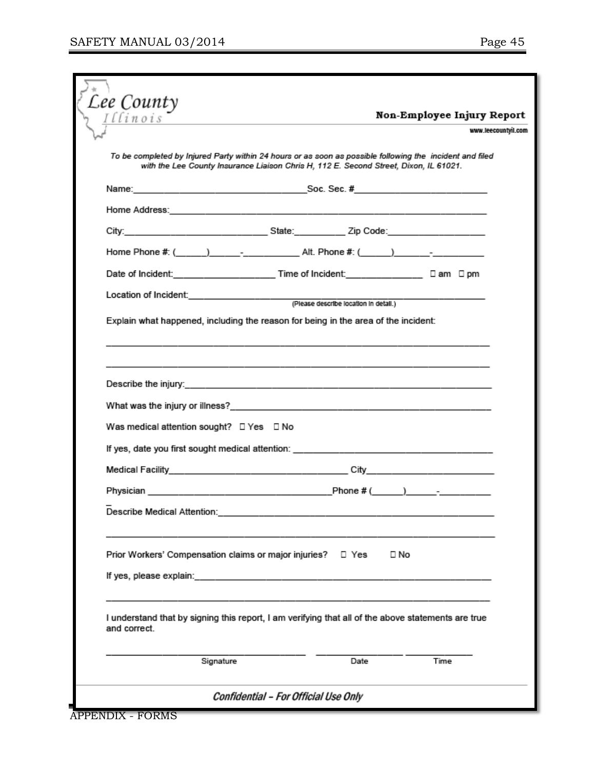| Lee County<br>Illinois                                      | Non-Employee Injury Report                                                                                                                                                                                                     |
|-------------------------------------------------------------|--------------------------------------------------------------------------------------------------------------------------------------------------------------------------------------------------------------------------------|
|                                                             | the control of the control of the control of the control of the control of<br>www.leecountyil.com                                                                                                                              |
|                                                             |                                                                                                                                                                                                                                |
|                                                             | To be completed by Injured Party within 24 hours or as soon as possible following the incident and filed<br>with the Lee County Insurance Liaison Chris H, 112 E. Second Street, Dixon, IL 61021.                              |
|                                                             |                                                                                                                                                                                                                                |
|                                                             |                                                                                                                                                                                                                                |
|                                                             |                                                                                                                                                                                                                                |
|                                                             | Home Phone #: (______) ___________________Alt. Phone #: (_____) ________________                                                                                                                                               |
|                                                             | Date of Incident: <u>Date of Incident</u> Control of Incident: Date of Incident: Dam Dpm                                                                                                                                       |
|                                                             |                                                                                                                                                                                                                                |
|                                                             |                                                                                                                                                                                                                                |
|                                                             | Explain what happened, including the reason for being in the area of the incident:                                                                                                                                             |
|                                                             |                                                                                                                                                                                                                                |
|                                                             |                                                                                                                                                                                                                                |
|                                                             |                                                                                                                                                                                                                                |
| Was medical attention sought? □ Yes □ No                    |                                                                                                                                                                                                                                |
|                                                             | If yes, date you first sought medical attention: the control of the control of the control of the control of the control of the control of the control of the control of the control of the control of the control of the cont |
|                                                             |                                                                                                                                                                                                                                |
|                                                             |                                                                                                                                                                                                                                |
|                                                             |                                                                                                                                                                                                                                |
|                                                             |                                                                                                                                                                                                                                |
|                                                             |                                                                                                                                                                                                                                |
| Prior Workers' Compensation claims or major injuries? □ Yes | $\square$ No                                                                                                                                                                                                                   |
|                                                             |                                                                                                                                                                                                                                |
|                                                             |                                                                                                                                                                                                                                |
| and correct.                                                | I understand that by signing this report, I am verifying that all of the above statements are true                                                                                                                             |
| Signature                                                   | Date<br>Time                                                                                                                                                                                                                   |
|                                                             |                                                                                                                                                                                                                                |
|                                                             |                                                                                                                                                                                                                                |

Confidential - For Official Use Only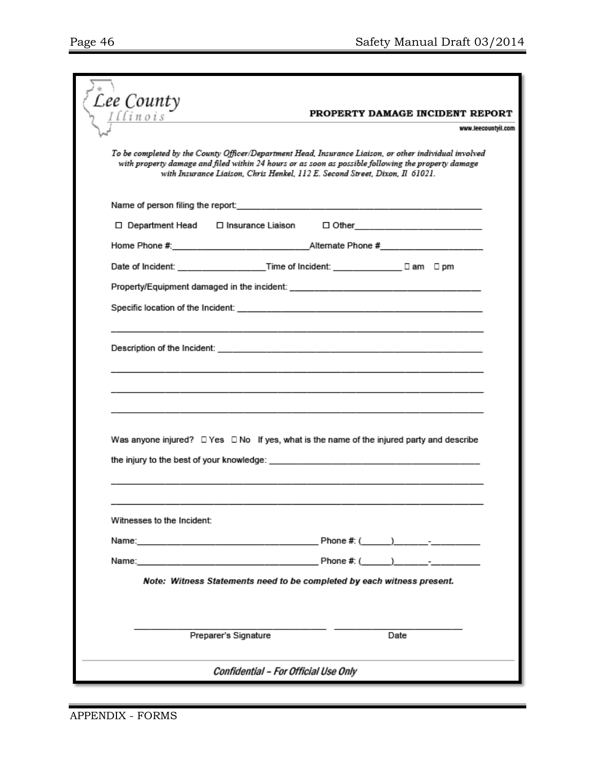| Lee County                                                                                                                                                                                                                                                                                    |                                                        |
|-----------------------------------------------------------------------------------------------------------------------------------------------------------------------------------------------------------------------------------------------------------------------------------------------|--------------------------------------------------------|
| llinois                                                                                                                                                                                                                                                                                       | PROPERTY DAMAGE INCIDENT REPORT<br>www.leecountyil.com |
| To be completed by the County Officer/Department Head, Insurance Liaison, or other individual involved<br>with property damage and filed within 24 hours or as soon as possible following the property damage<br>with Insurance Liaison, Chris Henkel, 112 E. Second Street, Dixon, Il 61021. |                                                        |
| Name of person filing the report: www.communication.com/www.communication.com/www.communication.com                                                                                                                                                                                           |                                                        |
| □ Department Head □ Insurance Liaison □ Other __________________________________                                                                                                                                                                                                              |                                                        |
|                                                                                                                                                                                                                                                                                               |                                                        |
|                                                                                                                                                                                                                                                                                               |                                                        |
|                                                                                                                                                                                                                                                                                               |                                                        |
|                                                                                                                                                                                                                                                                                               |                                                        |
|                                                                                                                                                                                                                                                                                               |                                                        |
| Was anyone injured? $\Box$ Yes $\Box$ No If yes, what is the name of the injured party and describe                                                                                                                                                                                           |                                                        |
| Witnesses to the Incident:                                                                                                                                                                                                                                                                    |                                                        |
|                                                                                                                                                                                                                                                                                               |                                                        |
|                                                                                                                                                                                                                                                                                               |                                                        |
| Note: Witness Statements need to be completed by each witness present.                                                                                                                                                                                                                        |                                                        |
| Preparer's Signature                                                                                                                                                                                                                                                                          | Date                                                   |
| Confidential - For Official Use Only                                                                                                                                                                                                                                                          |                                                        |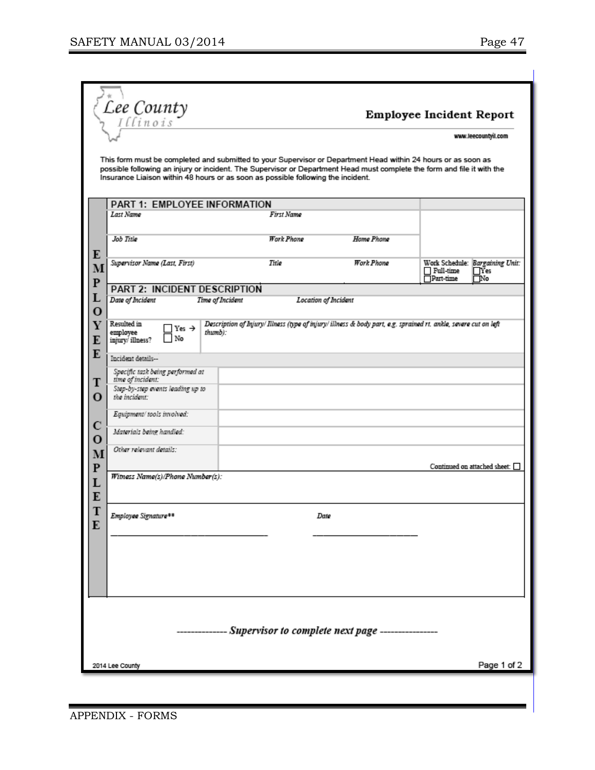|                                               | Lee County                                             |                                                                                                                                                                                                                                                                                                                              |                      | Employee Incident Report                                                                                |
|-----------------------------------------------|--------------------------------------------------------|------------------------------------------------------------------------------------------------------------------------------------------------------------------------------------------------------------------------------------------------------------------------------------------------------------------------------|----------------------|---------------------------------------------------------------------------------------------------------|
|                                               |                                                        |                                                                                                                                                                                                                                                                                                                              |                      | www.leecountyil.com                                                                                     |
|                                               |                                                        | This form must be completed and submitted to your Supervisor or Department Head within 24 hours or as soon as<br>possible following an injury or incident. The Supervisor or Department Head must complete the form and file it with the<br>Insurance Liaison within 48 hours or as soon as possible following the incident. |                      |                                                                                                         |
|                                               | PART 1: EMPLOYEE INFORMATION                           |                                                                                                                                                                                                                                                                                                                              |                      |                                                                                                         |
|                                               | Last Name                                              | First Name                                                                                                                                                                                                                                                                                                                   |                      |                                                                                                         |
|                                               | Job Title                                              | Work Phone                                                                                                                                                                                                                                                                                                                   | Home Phone           |                                                                                                         |
| E<br>M                                        | Supervisor Name (Last, First)                          | Title                                                                                                                                                                                                                                                                                                                        | Work Phone           | Work Schedule: Bargaining Unit:<br>$\Box$ Full-time<br>$\Box$ Yes<br>$\overline{\Box}$ Part-time<br>ΠNο |
| $\mathbf P$                                   | <b>PART 2: INCIDENT DESCRIPTION</b>                    |                                                                                                                                                                                                                                                                                                                              |                      |                                                                                                         |
| L                                             | Date of Incident                                       | Time of Incident                                                                                                                                                                                                                                                                                                             | Location of Incident |                                                                                                         |
| O                                             | Resulted in                                            | Description of Injury/ Iliness (type of injury/ illness & body part, e.g. sprained rt. ankle, severe cut on left                                                                                                                                                                                                             |                      |                                                                                                         |
| Y<br>E                                        | Yes $\rightarrow$<br>employee<br>No<br>injury/illness? | thumb):                                                                                                                                                                                                                                                                                                                      |                      |                                                                                                         |
| E                                             | Incident details-                                      |                                                                                                                                                                                                                                                                                                                              |                      |                                                                                                         |
| т                                             | Specific task being performed at<br>time of incident:  |                                                                                                                                                                                                                                                                                                                              |                      |                                                                                                         |
| O                                             | Step-by-step events leading up to<br>the incident:     |                                                                                                                                                                                                                                                                                                                              |                      |                                                                                                         |
|                                               | Equipment/tools involved:                              |                                                                                                                                                                                                                                                                                                                              |                      |                                                                                                         |
| с<br>$\mathbf{o}$                             | Materials being handled:                               |                                                                                                                                                                                                                                                                                                                              |                      |                                                                                                         |
| M<br>$\mathbf P$                              | Other relevant details:                                |                                                                                                                                                                                                                                                                                                                              |                      | Continued on attached sheet: $\Box$                                                                     |
| L<br>E                                        | Witness Name(s)/Phone Number(s):                       |                                                                                                                                                                                                                                                                                                                              |                      |                                                                                                         |
| T<br>E                                        | Employee Signature##                                   |                                                                                                                                                                                                                                                                                                                              | Date                 |                                                                                                         |
|                                               |                                                        |                                                                                                                                                                                                                                                                                                                              |                      |                                                                                                         |
|                                               |                                                        |                                                                                                                                                                                                                                                                                                                              |                      |                                                                                                         |
|                                               |                                                        |                                                                                                                                                                                                                                                                                                                              |                      |                                                                                                         |
|                                               |                                                        |                                                                                                                                                                                                                                                                                                                              |                      |                                                                                                         |
| - Supervisor to complete next page ---------- |                                                        |                                                                                                                                                                                                                                                                                                                              |                      |                                                                                                         |
|                                               | 2014 Lee County                                        |                                                                                                                                                                                                                                                                                                                              |                      | Page 1 of 2                                                                                             |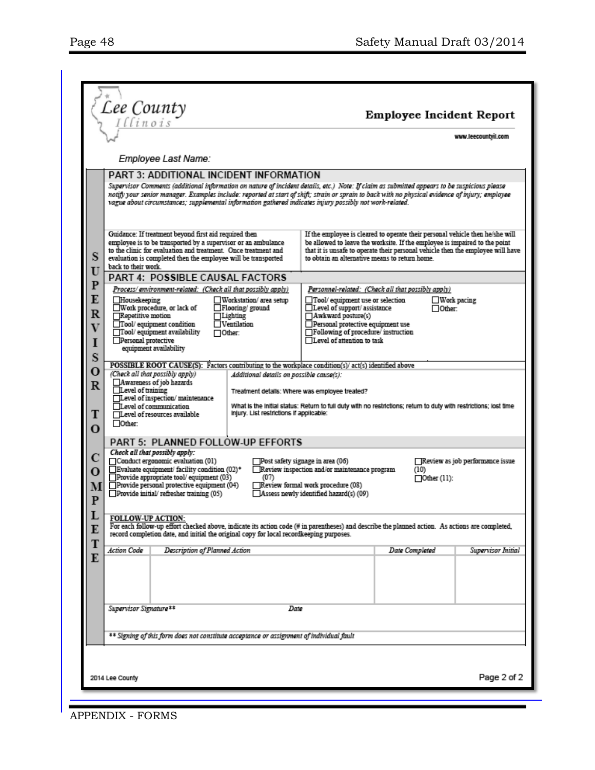|                                                              | Lee County                                                                                                                                                                                                                                                                                                                                                                                                                                                                                                  | Employee Incident Report<br>www.leecountyil.com                                                                                                                                                                                                                                                                  |  |  |
|--------------------------------------------------------------|-------------------------------------------------------------------------------------------------------------------------------------------------------------------------------------------------------------------------------------------------------------------------------------------------------------------------------------------------------------------------------------------------------------------------------------------------------------------------------------------------------------|------------------------------------------------------------------------------------------------------------------------------------------------------------------------------------------------------------------------------------------------------------------------------------------------------------------|--|--|
|                                                              | Employee Last Name:                                                                                                                                                                                                                                                                                                                                                                                                                                                                                         |                                                                                                                                                                                                                                                                                                                  |  |  |
|                                                              | PART 3: ADDITIONAL INCIDENT INFORMATION<br>Supervisor Comments (additional information on nature of incident details, etc.) Note: If claim as submitted appears to be suspicious please<br>notify your senior manager. Examples include: reported at start of shift; strain or sprain to back with no physical evidence of mjury; employee<br>vague about circumstances; supplemental information gathered indicates injury possibly not work-related.                                                      |                                                                                                                                                                                                                                                                                                                  |  |  |
| S<br>Ū                                                       | Guidance: If treatment beyond first aid required then<br>employee is to be transported by a supervisor or an ambulance<br>to the clinic for evaluation and treatment. Once treatment and<br>evaluation is completed then the employee will be transported<br>back to their work.                                                                                                                                                                                                                            | If the employee is cleared to operate their personal vehicle then he/she will<br>be allowed to leave the worksite. If the employee is impaired to the point<br>that it is unsafe to operate their personal vehicle then the employee will have<br>to obtain an alternative means to return home.                 |  |  |
| $\overline{P}$                                               | PART 4: POSSIBLE CAUSAL FACTORS                                                                                                                                                                                                                                                                                                                                                                                                                                                                             |                                                                                                                                                                                                                                                                                                                  |  |  |
| E<br>$\overline{\mathbf{R}}$<br>$\overline{\mathbf{V}}$<br>I | Process/environment-related: (Check all that possibly apply)<br>Housekeeping<br>Workstation/area setup<br>□Work procedure, or lack of<br>Flooring/ground<br>Repetitive motion<br>$\Box$ Lighting<br>Tool/ equipment condition<br>$\Box$ Ventilation<br>Tool/ equipment availability<br>$\Box$ Other:<br>Personal protective<br>equipment availability                                                                                                                                                       | Personnel-related: (Check all that possibly apply)<br>$\Box$ Tool/ equipment use or selection<br>$\Box$ Work pacing<br>$\Box$ Level of support/assistance<br>$\Box$ Other:<br>Awkward posture(s)<br>Personal protective equipment use<br>Following of procedure/instruction<br>$\Box$ Level of attention to task |  |  |
| S                                                            |                                                                                                                                                                                                                                                                                                                                                                                                                                                                                                             |                                                                                                                                                                                                                                                                                                                  |  |  |
| о<br>$\mathbb R$<br>T                                        | POSSIBLE ROOT CAUSE(S): Factors contributing to the workplace condition(s)/act(s) identified above<br>(Check all that possibly apply)<br>Additional details on possible cause(s):<br>Awareness of job hazards<br>$\Box$ Level of training<br>Level of inspection/maintenance<br>Level of communication<br>Injury. List restrictions if applicable:<br>TLevel of resources available<br>Other:                                                                                                               | Treatment details: Where was employee treated?<br>What is the initial status: Return to full duty with no restrictions; return to duty with restrictions; lost time                                                                                                                                              |  |  |
| $\Omega$                                                     |                                                                                                                                                                                                                                                                                                                                                                                                                                                                                                             |                                                                                                                                                                                                                                                                                                                  |  |  |
|                                                              | PART 5: PLANNED FOLLOW-UP EFFORTS                                                                                                                                                                                                                                                                                                                                                                                                                                                                           |                                                                                                                                                                                                                                                                                                                  |  |  |
| М<br>P                                                       | Check all that possibly apply:<br>Conduct ergonomic evaluation (01)<br>Review as job performance issue<br>$\Box$ Post safety signage in area (06)<br>Evaluate equipment/ facility condition (02)*<br>Review inspection and/or maintenance program<br>(10)<br>Provide appropriate tool/ equipment (03)<br>(07)<br>$\Box$ Other (11):<br>Provide personal protective equipment (04)<br>Review formal work procedure (08)<br>Provide initial/refresher training (05)<br>Assess newly identified hazard(s) (09) |                                                                                                                                                                                                                                                                                                                  |  |  |
| E<br>T                                                       | <b>FOLLOW-UP ACTION:</b><br>For each follow-up effort checked above, indicate its action code (# in parentheses) and describe the planned action. As actions are completed,<br>record completion date, and initial the original copy for local recordkeeping purposes.                                                                                                                                                                                                                                      |                                                                                                                                                                                                                                                                                                                  |  |  |
|                                                              | Action Code<br>Description of Planned Action                                                                                                                                                                                                                                                                                                                                                                                                                                                                | Date Completed<br>Supervisor Initial                                                                                                                                                                                                                                                                             |  |  |
| E                                                            | Supervisor Signature **                                                                                                                                                                                                                                                                                                                                                                                                                                                                                     | Date                                                                                                                                                                                                                                                                                                             |  |  |
|                                                              | ** Signing of this form does not constitute acceptance or assignment of individual fault                                                                                                                                                                                                                                                                                                                                                                                                                    |                                                                                                                                                                                                                                                                                                                  |  |  |
|                                                              |                                                                                                                                                                                                                                                                                                                                                                                                                                                                                                             |                                                                                                                                                                                                                                                                                                                  |  |  |
| Page 2 of 2<br>2014 Lee County                               |                                                                                                                                                                                                                                                                                                                                                                                                                                                                                                             |                                                                                                                                                                                                                                                                                                                  |  |  |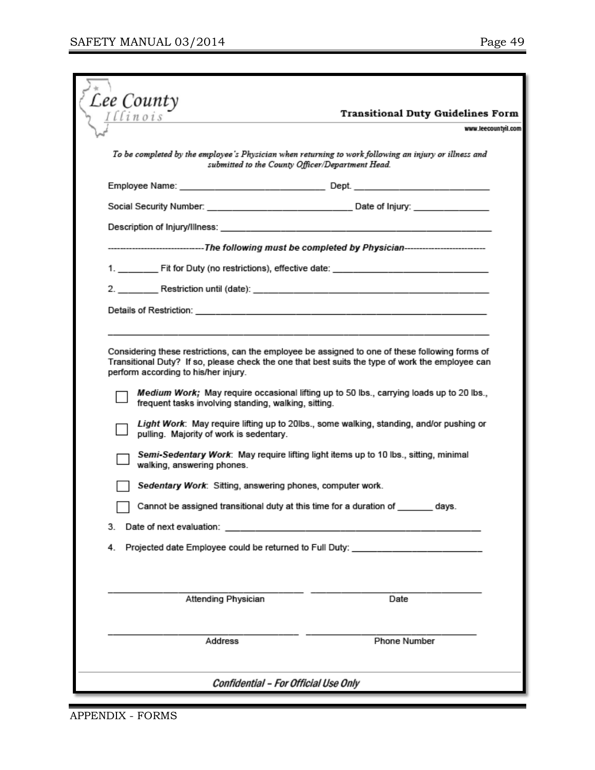| Lee County                                                                                                                          | <b>Transitional Duty Guidelines Form</b>                                                                                                                                                                                                                                                                                                                                                                                  |
|-------------------------------------------------------------------------------------------------------------------------------------|---------------------------------------------------------------------------------------------------------------------------------------------------------------------------------------------------------------------------------------------------------------------------------------------------------------------------------------------------------------------------------------------------------------------------|
|                                                                                                                                     | www.leecountyil.com                                                                                                                                                                                                                                                                                                                                                                                                       |
|                                                                                                                                     | To be completed by the employee's Physician when returning to work following an injury or illness and<br>submitted to the County Officer/Department Head.                                                                                                                                                                                                                                                                 |
|                                                                                                                                     |                                                                                                                                                                                                                                                                                                                                                                                                                           |
|                                                                                                                                     | Social Security Number: New York 1999 Social Security Number: New York 1999 Social Security Number                                                                                                                                                                                                                                                                                                                        |
|                                                                                                                                     |                                                                                                                                                                                                                                                                                                                                                                                                                           |
|                                                                                                                                     | ----------------------------The following must be completed by Physician---------------------------                                                                                                                                                                                                                                                                                                                       |
|                                                                                                                                     |                                                                                                                                                                                                                                                                                                                                                                                                                           |
|                                                                                                                                     |                                                                                                                                                                                                                                                                                                                                                                                                                           |
|                                                                                                                                     |                                                                                                                                                                                                                                                                                                                                                                                                                           |
|                                                                                                                                     |                                                                                                                                                                                                                                                                                                                                                                                                                           |
| frequent tasks involving standing, walking, sitting.<br>pulling. Majority of work is sedentary.<br>walking, answering phones.<br>3. | Medium Work; May require occasional lifting up to 50 lbs., carrying loads up to 20 lbs.,<br>Light Work: May require lifting up to 20lbs., some walking, standing, and/or pushing or<br>Semi-Sedentary Work: May require lifting light items up to 10 lbs., sitting, minimal<br>Sedentary Work: Sitting, answering phones, computer work.<br>Cannot be assigned transitional duty at this time for a duration of _<br>davs |
| 4.                                                                                                                                  | Projected date Employee could be returned to Full Duty: ________________________                                                                                                                                                                                                                                                                                                                                          |
|                                                                                                                                     |                                                                                                                                                                                                                                                                                                                                                                                                                           |
| Attending Physician                                                                                                                 | Date                                                                                                                                                                                                                                                                                                                                                                                                                      |
| Address                                                                                                                             | Phone Number                                                                                                                                                                                                                                                                                                                                                                                                              |
|                                                                                                                                     | Confidential - For Official Use Only                                                                                                                                                                                                                                                                                                                                                                                      |